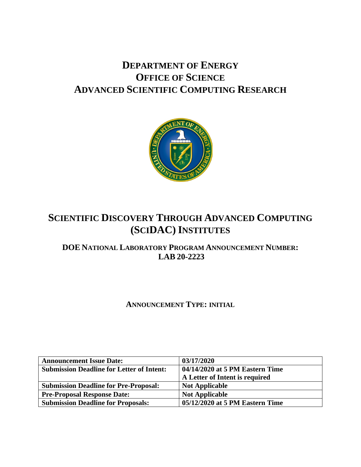# **DEPARTMENT OF ENERGY OFFICE OF SCIENCE ADVANCED SCIENTIFIC COMPUTING RESEARCH**



# **SCIENTIFIC DISCOVERY THROUGH ADVANCED COMPUTING (SCIDAC) INSTITUTES**

# **DOE NATIONAL LABORATORY PROGRAM ANNOUNCEMENT NUMBER: LAB 20-2223**

# **ANNOUNCEMENT TYPE: INITIAL**

| <b>Announcement Issue Date:</b>                  | 03/17/2020                      |
|--------------------------------------------------|---------------------------------|
| <b>Submission Deadline for Letter of Intent:</b> | 04/14/2020 at 5 PM Eastern Time |
|                                                  | A Letter of Intent is required  |
| <b>Submission Deadline for Pre-Proposal:</b>     | <b>Not Applicable</b>           |
| <b>Pre-Proposal Response Date:</b>               | <b>Not Applicable</b>           |
| <b>Submission Deadline for Proposals:</b>        | 05/12/2020 at 5 PM Eastern Time |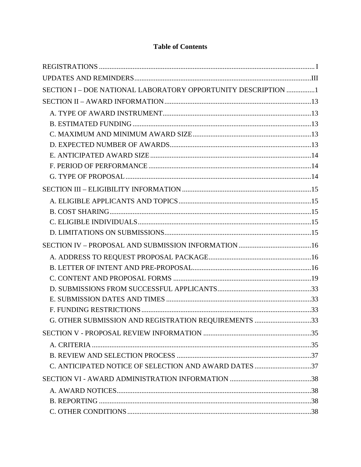| SECTION I - DOE NATIONAL LABORATORY OPPORTUNITY DESCRIPTION 1 |  |
|---------------------------------------------------------------|--|
|                                                               |  |
|                                                               |  |
|                                                               |  |
|                                                               |  |
|                                                               |  |
|                                                               |  |
|                                                               |  |
|                                                               |  |
|                                                               |  |
|                                                               |  |
|                                                               |  |
|                                                               |  |
|                                                               |  |
|                                                               |  |
|                                                               |  |
|                                                               |  |
|                                                               |  |
|                                                               |  |
|                                                               |  |
|                                                               |  |
| G. OTHER SUBMISSION AND REGISTRATION REQUIREMENTS 33          |  |
|                                                               |  |
|                                                               |  |
|                                                               |  |
| C. ANTICIPATED NOTICE OF SELECTION AND AWARD DATES 37         |  |
|                                                               |  |
|                                                               |  |
|                                                               |  |
|                                                               |  |

# **Table of Contents**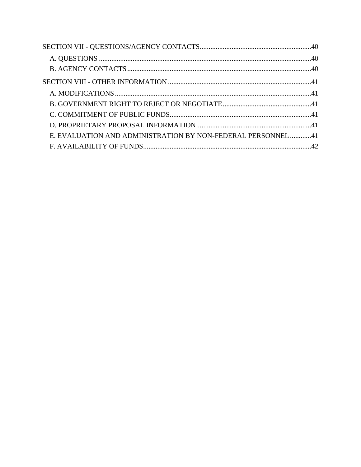| E. EVALUATION AND ADMINISTRATION BY NON-FEDERAL PERSONNEL41 |  |
|-------------------------------------------------------------|--|
|                                                             |  |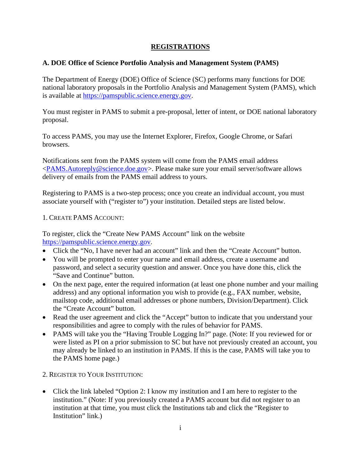# **REGISTRATIONS**

# <span id="page-3-0"></span>**A. DOE Office of Science Portfolio Analysis and Management System (PAMS)**

The Department of Energy (DOE) Office of Science (SC) performs many functions for DOE national laboratory proposals in the Portfolio Analysis and Management System (PAMS), which is available at [https://pamspublic.science.energy.gov.](https://pamspublic.science.energy.gov/)

You must register in PAMS to submit a pre-proposal, letter of intent, or DOE national laboratory proposal.

To access PAMS, you may use the Internet Explorer, Firefox, Google Chrome, or Safari browsers.

Notifications sent from the PAMS system will come from the PAMS email address [<PAMS.Autoreply@science.doe.gov>](mailto:PAMS.Autoreply@science.doe.gov). Please make sure your email server/software allows delivery of emails from the PAMS email address to yours.

Registering to PAMS is a two-step process; once you create an individual account, you must associate yourself with ("register to") your institution. Detailed steps are listed below.

#### 1. CREATE PAMS ACCOUNT:

To register, click the "Create New PAMS Account" link on the website [https://pamspublic.science.energy.gov.](https://pamspublic.science.energy.gov/)

- Click the "No. I have never had an account" link and then the "Create Account" button.
- You will be prompted to enter your name and email address, create a username and password, and select a security question and answer. Once you have done this, click the "Save and Continue" button.
- On the next page, enter the required information (at least one phone number and your mailing address) and any optional information you wish to provide (e.g., FAX number, website, mailstop code, additional email addresses or phone numbers, Division/Department). Click the "Create Account" button.
- Read the user agreement and click the "Accept" button to indicate that you understand your responsibilities and agree to comply with the rules of behavior for PAMS.
- PAMS will take you the "Having Trouble Logging In?" page. (Note: If you reviewed for or were listed as PI on a prior submission to SC but have not previously created an account, you may already be linked to an institution in PAMS. If this is the case, PAMS will take you to the PAMS home page.)
- 2. REGISTER TO YOUR INSTITUTION:
- Click the link labeled "Option 2: I know my institution and I am here to register to the institution." (Note: If you previously created a PAMS account but did not register to an institution at that time, you must click the Institutions tab and click the "Register to Institution" link.)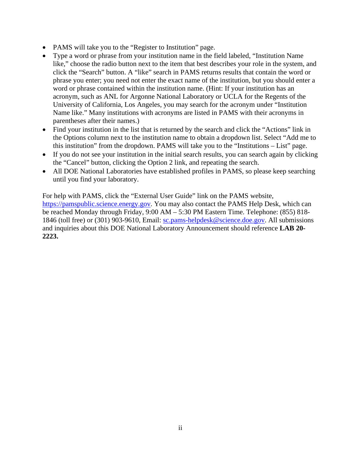- PAMS will take you to the "Register to Institution" page.
- Type a word or phrase from your institution name in the field labeled, "Institution Name like," choose the radio button next to the item that best describes your role in the system, and click the "Search" button. A "like" search in PAMS returns results that contain the word or phrase you enter; you need not enter the exact name of the institution, but you should enter a word or phrase contained within the institution name. (Hint: If your institution has an acronym, such as ANL for Argonne National Laboratory or UCLA for the Regents of the University of California, Los Angeles, you may search for the acronym under "Institution Name like." Many institutions with acronyms are listed in PAMS with their acronyms in parentheses after their names.)
- Find your institution in the list that is returned by the search and click the "Actions" link in the Options column next to the institution name to obtain a dropdown list. Select "Add me to this institution" from the dropdown. PAMS will take you to the "Institutions – List" page.
- If you do not see your institution in the initial search results, you can search again by clicking the "Cancel" button, clicking the Option 2 link, and repeating the search.
- All DOE National Laboratories have established profiles in PAMS, so please keep searching until you find your laboratory.

For help with PAMS, click the "External User Guide" link on the PAMS website, [https://pamspublic.science.energy.gov.](https://pamspublic.science.energy.gov/) You may also contact the PAMS Help Desk, which can be reached Monday through Friday, 9:00 AM – 5:30 PM Eastern Time. Telephone: (855) 818 1846 (toll free) or (301) 903-9610, Email: [sc.pams-helpdesk@science.doe.gov.](mailto:sc.pams-helpdesk@science.doe.gov) All submissions and inquiries about this DOE National Laboratory Announcement should reference **LAB 20- 2223.**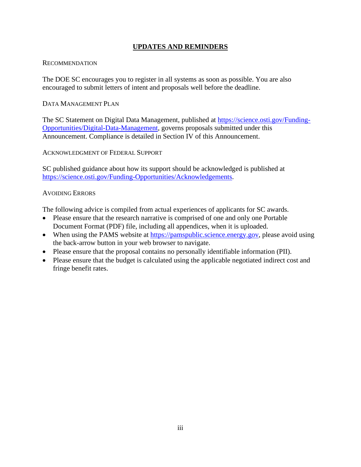# **UPDATES AND REMINDERS**

#### <span id="page-5-0"></span>RECOMMENDATION

The DOE SC encourages you to register in all systems as soon as possible. You are also encouraged to submit letters of intent and proposals well before the deadline.

## DATA MANAGEMENT PLAN

The SC Statement on Digital Data Management, published at [https://science.osti.gov/Funding-](https://science.osti.gov/Funding-Opportunities/Digital-Data-Management)[Opportunities/Digital-Data-Management,](https://science.osti.gov/Funding-Opportunities/Digital-Data-Management) governs proposals submitted under this Announcement. Compliance is detailed in Section IV of this Announcement.

ACKNOWLEDGMENT OF FEDERAL SUPPORT

SC published guidance about how its support should be acknowledged is published at [https://science.osti.gov/Funding-Opportunities/Acknowledgements.](https://science.osti.gov/Funding-Opportunities/Acknowledgements)

## AVOIDING ERRORS

The following advice is compiled from actual experiences of applicants for SC awards.

- Please ensure that the research narrative is comprised of one and only one Portable Document Format (PDF) file, including all appendices, when it is uploaded.
- When using the PAMS website at [https://pamspublic.science.energy.gov,](https://pamspublic.science.energy.gov/) please avoid using the back-arrow button in your web browser to navigate.
- Please ensure that the proposal contains no personally identifiable information (PII).
- Please ensure that the budget is calculated using the applicable negotiated indirect cost and fringe benefit rates.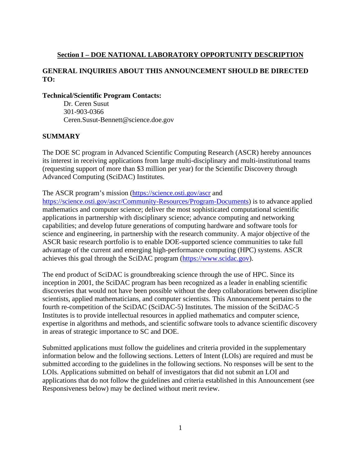# <span id="page-6-0"></span>**Section I – DOE NATIONAL LABORATORY OPPORTUNITY DESCRIPTION**

# **GENERAL INQUIRIES ABOUT THIS ANNOUNCEMENT SHOULD BE DIRECTED TO:**

#### **Technical/Scientific Program Contacts:**

Dr. Ceren Susut 301-903-0366 Ceren.Susut-Bennett@science.doe.gov

#### **SUMMARY**

The DOE SC program in Advanced Scientific Computing Research (ASCR) hereby announces its interest in receiving applications from large multi-disciplinary and multi-institutional teams (requesting support of more than \$3 million per year) for the Scientific Discovery through Advanced Computing (SciDAC) Institutes.

The ASCR program's mission [\(https://science.osti.gov/ascr](https://science.osti.gov/ascr) and

[https://science.osti.gov/ascr/Community-Resources/Program-Documents\)](https://science.osti.gov/ascr/Community-Resources/Program-Documents) is to advance applied mathematics and computer science; deliver the most sophisticated computational scientific applications in partnership with disciplinary science; advance computing and networking capabilities; and develop future generations of computing hardware and software tools for science and engineering, in partnership with the research community. A major objective of the ASCR basic research portfolio is to enable DOE-supported science communities to take full advantage of the current and emerging high-performance computing (HPC) systems. ASCR achieves this goal through the SciDAC program [\(https://www.scidac.gov\)](https://www.scidac.gov/).

The end product of SciDAC is groundbreaking science through the use of HPC. Since its inception in 2001, the SciDAC program has been recognized as a leader in enabling scientific discoveries that would not have been possible without the deep collaborations between discipline scientists, applied mathematicians, and computer scientists. This Announcement pertains to the fourth re-competition of the SciDAC (SciDAC-5) Institutes. The mission of the SciDAC-5 Institutes is to provide intellectual resources in applied mathematics and computer science, expertise in algorithms and methods, and scientific software tools to advance scientific discovery in areas of strategic importance to SC and DOE.

Submitted applications must follow the guidelines and criteria provided in the supplementary information below and the following sections. Letters of Intent (LOIs) are required and must be submitted according to the guidelines in the following sections. No responses will be sent to the LOIs. Applications submitted on behalf of investigators that did not submit an LOI and applications that do not follow the guidelines and criteria established in this Announcement (see Responsiveness below) may be declined without merit review.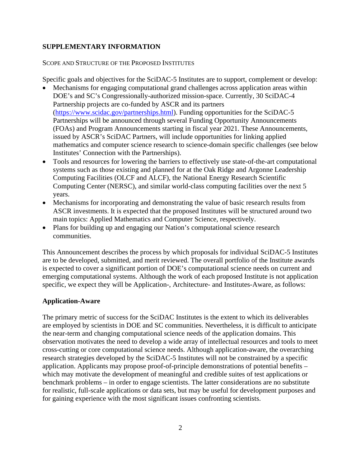# **SUPPLEMENTARY INFORMATION**

#### SCOPE AND STRUCTURE OF THE PROPOSED INSTITUTES

Specific goals and objectives for the SciDAC-5 Institutes are to support, complement or develop:

- Mechanisms for engaging computational grand challenges across application areas within DOE's and SC's Congressionally-authorized mission-space. Currently, 30 SciDAC-4 Partnership projects are co-funded by ASCR and its partners [\(https://www.scidac.gov/partnerships.html\)](https://www.scidac.gov/partnerships.html). Funding opportunities for the SciDAC-5 Partnerships will be announced through several Funding Opportunity Announcements (FOAs) and Program Announcements starting in fiscal year 2021. These Announcements, issued by ASCR's SciDAC Partners, will include opportunities for linking applied mathematics and computer science research to science-domain specific challenges (see below Institutes' Connection with the Partnerships).
- Tools and resources for lowering the barriers to effectively use state-of-the-art computational systems such as those existing and planned for at the Oak Ridge and Argonne Leadership Computing Facilities (OLCF and ALCF), the National Energy Research Scientific Computing Center (NERSC), and similar world-class computing facilities over the next 5 years.
- Mechanisms for incorporating and demonstrating the value of basic research results from ASCR investments. It is expected that the proposed Institutes will be structured around two main topics: Applied Mathematics and Computer Science, respectively.
- Plans for building up and engaging our Nation's computational science research communities.

This Announcement describes the process by which proposals for individual SciDAC-5 Institutes are to be developed, submitted, and merit reviewed. The overall portfolio of the Institute awards is expected to cover a significant portion of DOE's computational science needs on current and emerging computational systems. Although the work of each proposed Institute is not application specific, we expect they will be Application-, Architecture- and Institutes-Aware, as follows:

# **Application-Aware**

The primary metric of success for the SciDAC Institutes is the extent to which its deliverables are employed by scientists in DOE and SC communities. Nevertheless, it is difficult to anticipate the near-term and changing computational science needs of the application domains. This observation motivates the need to develop a wide array of intellectual resources and tools to meet cross-cutting or core computational science needs. Although application-aware, the overarching research strategies developed by the SciDAC-5 Institutes will not be constrained by a specific application. Applicants may propose proof-of-principle demonstrations of potential benefits – which may motivate the development of meaningful and credible suites of test applications or benchmark problems – in order to engage scientists. The latter considerations are no substitute for realistic, full-scale applications or data sets, but may be useful for development purposes and for gaining experience with the most significant issues confronting scientists.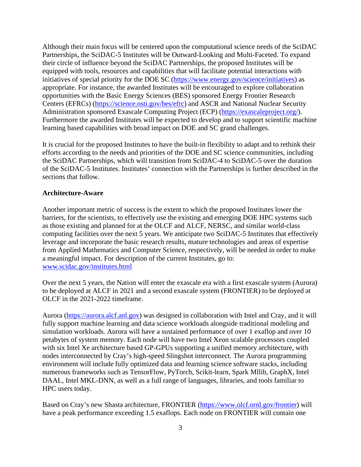Although their main focus will be centered upon the computational science needs of the SciDAC Partnerships, the SciDAC-5 Institutes will be Outward-Looking and Multi-Faceted. To expand their circle of influence beyond the SciDAC Partnerships, the proposed Institutes will be equipped with tools, resources and capabilities that will facilitate potential interactions with initiatives of special priority for the DOE SC [\(https://www.energy.gov/science/initiatives\)](https://www.energy.gov/science/initiatives) as appropriate. For instance, the awarded Institutes will be encouraged to explore collaboration opportunities with the Basic Energy Sciences (BES) sponsored Energy Frontier Research Centers (EFRCs) [\(https://science.osti.gov/bes/efrc\)](https://science.osti.gov/bes/efrc) and ASCR and National Nuclear Security Administration sponsored Exascale Computing Project (ECP) [\(https://exascaleproject.org/\)](https://exascaleproject.org/). Furthermore the awarded Institutes will be expected to develop and to support scientific machine learning based capabilities with broad impact on DOE and SC grand challenges.

It is crucial for the proposed Institutes to have the built-in flexibility to adapt and to rethink their efforts according to the needs and priorities of the DOE and SC science communities, including the SciDAC Partnerships, which will transition from SciDAC-4 to SciDAC-5 over the duration of the SciDAC-5 Institutes. Institutes' connection with the Partnerships is further described in the sections that follow.

#### **Architecture-Aware**

Another important metric of success is the extent to which the proposed Institutes lower the barriers, for the scientists, to effectively use the existing and emerging DOE HPC systems such as those existing and planned for at the OLCF and ALCF, NERSC, and similar world-class computing facilities over the next 5 years. We anticipate two SciDAC-5 Institutes that effectively leverage and incorporate the basic research results, mature technologies and areas of expertise from Applied Mathematics and Computer Science, respectively, will be needed in order to make a meaningful impact. For description of the current Institutes, go to: [www.scidac.gov/institutes.html](http://www.scidac.gov/institutes.html)

Over the next 5 years, the Nation will enter the exascale era with a first exascale system (Aurora) to be deployed at ALCF in 2021 and a second exascale system (FRONTIER) to be deployed at OLCF in the 2021-2022 timeframe.

Aurora [\(https://aurora.alcf.anl.gov\)](https://aurora.alcf.anl.gov/) was designed in collaboration with Intel and Cray, and it will fully support machine learning and data science workloads alongside traditional modeling and simulation workloads. Aurora will have a sustained performance of over 1 exaflop and over 10 petabytes of system memory. Each node will have two Intel Xeon scalable processors coupled with six Intel Xe architecture based GP-GPUs supporting a unified memory architecture, with nodes interconnected by Cray's high-speed Slingshot interconnect. The Aurora programming environment will include fully optimized data and learning science software stacks, including numerous frameworks such as TensorFlow, PyTorch, Scikit-learn, Spark Mllib, GraphX, Intel DAAL, Intel MKL-DNN, as well as a full range of languages, libraries, and tools familiar to HPC users today.

Based on Cray's new Shasta architecture, FRONTIER [\(https://www.olcf.ornl.gov/frontier\)](https://www.olcf.ornl.gov/frontier) will have a peak performance exceeding 1.5 exaflops. Each node on FRONTIER will contain one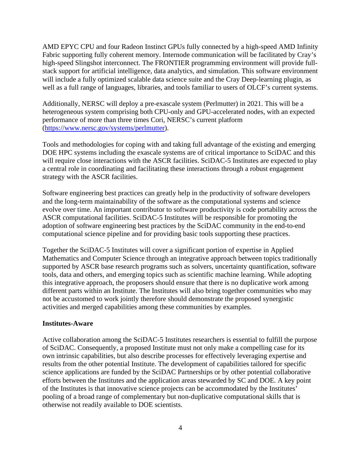AMD EPYC CPU and four Radeon Instinct GPUs fully connected by a high-speed AMD Infinity Fabric supporting fully coherent memory. Internode communication will be facilitated by Cray's high-speed Slingshot interconnect. The FRONTIER programming environment will provide fullstack support for artificial intelligence, data analytics, and simulation. This software environment will include a fully optimized scalable data science suite and the Cray Deep-learning plugin, as well as a full range of languages, libraries, and tools familiar to users of OLCF's current systems.

Additionally, NERSC will deploy a pre-exascale system (Perlmutter) in 2021. This will be a heterogeneous system comprising both CPU-only and GPU-accelerated nodes, with an expected performance of more than three times Cori, NERSC's current platform [\(https://www.nersc.gov/systems/perlmutter\)](https://www.nersc.gov/systems/perlmutter).

Tools and methodologies for coping with and taking full advantage of the existing and emerging DOE HPC systems including the exascale systems are of critical importance to SciDAC and this will require close interactions with the ASCR facilities. SciDAC-5 Institutes are expected to play a central role in coordinating and facilitating these interactions through a robust engagement strategy with the ASCR facilities.

Software engineering best practices can greatly help in the productivity of software developers and the long-term maintainability of the software as the computational systems and science evolve over time. An important contributor to software productivity is code portability across the ASCR computational facilities. SciDAC-5 Institutes will be responsible for promoting the adoption of software engineering best practices by the SciDAC community in the end-to-end computational science pipeline and for providing basic tools supporting these practices.

Together the SciDAC-5 Institutes will cover a significant portion of expertise in Applied Mathematics and Computer Science through an integrative approach between topics traditionally supported by ASCR base research programs such as solvers, uncertainty quantification, software tools, data and others, and emerging topics such as scientific machine learning. While adopting this integrative approach, the proposers should ensure that there is no duplicative work among different parts within an Institute. The Institutes will also bring together communities who may not be accustomed to work jointly therefore should demonstrate the proposed synergistic activities and merged capabilities among these communities by examples.

#### **Institutes-Aware**

Active collaboration among the SciDAC-5 Institutes researchers is essential to fulfill the purpose of SciDAC. Consequently, a proposed Institute must not only make a compelling case for its own intrinsic capabilities, but also describe processes for effectively leveraging expertise and results from the other potential Institute. The development of capabilities tailored for specific science applications are funded by the SciDAC Partnerships or by other potential collaborative efforts between the Institutes and the application areas stewarded by SC and DOE. A key point of the Institutes is that innovative science projects can be accommodated by the Institutes' pooling of a broad range of complementary but non-duplicative computational skills that is otherwise not readily available to DOE scientists.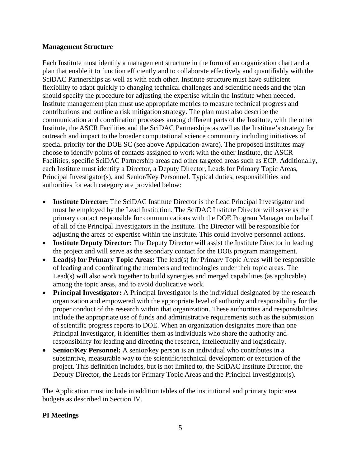#### **Management Structure**

Each Institute must identify a management structure in the form of an organization chart and a plan that enable it to function efficiently and to collaborate effectively and quantifiably with the SciDAC Partnerships as well as with each other. Institute structure must have sufficient flexibility to adapt quickly to changing technical challenges and scientific needs and the plan should specify the procedure for adjusting the expertise within the Institute when needed. Institute management plan must use appropriate metrics to measure technical progress and contributions and outline a risk mitigation strategy. The plan must also describe the communication and coordination processes among different parts of the Institute, with the other Institute, the ASCR Facilities and the SciDAC Partnerships as well as the Institute's strategy for outreach and impact to the broader computational science community including initiatives of special priority for the DOE SC (see above Application-aware). The proposed Institutes may choose to identify points of contacts assigned to work with the other Institute, the ASCR Facilities, specific SciDAC Partnership areas and other targeted areas such as ECP. Additionally, each Institute must identify a Director, a Deputy Director, Leads for Primary Topic Areas, Principal Investigator(s), and Senior/Key Personnel. Typical duties, responsibilities and authorities for each category are provided below:

- **Institute Director:** The SciDAC Institute Director is the Lead Principal Investigator and must be employed by the Lead Institution. The SciDAC Institute Director will serve as the primary contact responsible for communications with the DOE Program Manager on behalf of all of the Principal Investigators in the Institute. The Director will be responsible for adjusting the areas of expertise within the Institute. This could involve personnel actions.
- **Institute Deputy Director:** The Deputy Director will assist the Institute Director in leading the project and will serve as the secondary contact for the DOE program management.
- **Lead(s) for Primary Topic Areas:** The lead(s) for Primary Topic Areas will be responsible of leading and coordinating the members and technologies under their topic areas. The Lead(s) will also work together to build synergies and merged capabilities (as applicable) among the topic areas, and to avoid duplicative work.
- **Principal Investigator:** A Principal Investigator is the individual designated by the research organization and empowered with the appropriate level of authority and responsibility for the proper conduct of the research within that organization. These authorities and responsibilities include the appropriate use of funds and administrative requirements such as the submission of scientific progress reports to DOE. When an organization designates more than one Principal Investigator, it identifies them as individuals who share the authority and responsibility for leading and directing the research, intellectually and logistically.
- **Senior/Key Personnel:** A senior/key person is an individual who contributes in a substantive, measurable way to the scientific/technical development or execution of the project. This definition includes, but is not limited to, the SciDAC Institute Director, the Deputy Director, the Leads for Primary Topic Areas and the Principal Investigator(s).

The Application must include in addition tables of the institutional and primary topic area budgets as described in Section IV.

# **PI Meetings**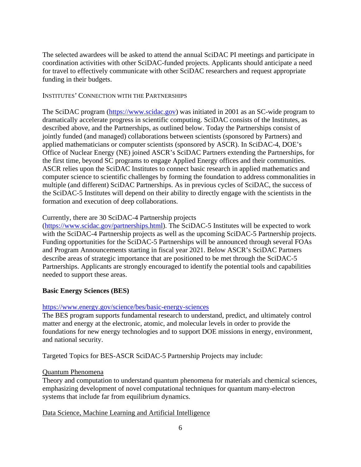The selected awardees will be asked to attend the annual SciDAC PI meetings and participate in coordination activities with other SciDAC-funded projects. Applicants should anticipate a need for travel to effectively communicate with other SciDAC researchers and request appropriate funding in their budgets.

#### INSTITUTES' CONNECTION WITH THE PARTNERSHIPS

The SciDAC program [\(https://www.scidac.gov\)](https://www.scidac.gov/) was initiated in 2001 as an SC-wide program to dramatically accelerate progress in scientific computing. SciDAC consists of the Institutes, as described above, and the Partnerships, as outlined below. Today the Partnerships consist of jointly funded (and managed) collaborations between scientists (sponsored by Partners) and applied mathematicians or computer scientists (sponsored by ASCR). In SciDAC-4, DOE's Office of Nuclear Energy (NE) joined ASCR's SciDAC Partners extending the Partnerships, for the first time, beyond SC programs to engage Applied Energy offices and their communities. ASCR relies upon the SciDAC Institutes to connect basic research in applied mathematics and computer science to scientific challenges by forming the foundation to address commonalities in multiple (and different) SciDAC Partnerships. As in previous cycles of SciDAC, the success of the SciDAC-5 Institutes will depend on their ability to directly engage with the scientists in the formation and execution of deep collaborations.

#### Currently, there are 30 SciDAC-4 Partnership projects

[\(https://www.scidac.gov/partnerships.html\)](https://www.scidac.gov/partnerships.html). The SciDAC-5 Institutes will be expected to work with the SciDAC-4 Partnership projects as well as the upcoming SciDAC-5 Partnership projects. Funding opportunities for the SciDAC-5 Partnerships will be announced through several FOAs and Program Announcements starting in fiscal year 2021. Below ASCR's SciDAC Partners describe areas of strategic importance that are positioned to be met through the SciDAC-5 Partnerships. Applicants are strongly encouraged to identify the potential tools and capabilities needed to support these areas.

#### **Basic Energy Sciences (BES)**

#### <https://www.energy.gov/science/bes/basic-energy-sciences>

The BES program supports fundamental research to understand, predict, and ultimately control matter and energy at the electronic, atomic, and molecular levels in order to provide the foundations for new energy technologies and to support DOE missions in energy, environment, and national security.

Targeted Topics for BES-ASCR SciDAC-5 Partnership Projects may include:

#### Quantum Phenomena

Theory and computation to understand quantum phenomena for materials and chemical sciences, emphasizing development of novel computational techniques for quantum many-electron systems that include far from equilibrium dynamics.

#### Data Science, Machine Learning and Artificial Intelligence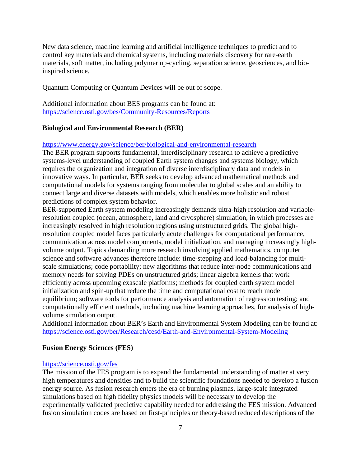New data science, machine learning and artificial intelligence techniques to predict and to control key materials and chemical systems, including materials discovery for rare-earth materials, soft matter, including polymer up-cycling, separation science, geosciences, and bioinspired science.

Quantum Computing or Quantum Devices will be out of scope.

Additional information about BES programs can be found at: <https://science.osti.gov/bes/Community-Resources/Reports>

#### **Biological and Environmental Research (BER)**

<https://www.energy.gov/science/ber/biological-and-environmental-research>

The BER program supports fundamental, interdisciplinary research to achieve a predictive systems-level understanding of coupled Earth system changes and systems biology, which requires the organization and integration of diverse interdisciplinary data and models in innovative ways. In particular, BER seeks to develop advanced mathematical methods and computational models for systems ranging from molecular to global scales and an ability to connect large and diverse datasets with models, which enables more holistic and robust predictions of complex system behavior.

BER-supported Earth system modeling increasingly demands ultra-high resolution and variableresolution coupled (ocean, atmosphere, land and cryosphere) simulation, in which processes are increasingly resolved in high resolution regions using unstructured grids. The global highresolution coupled model faces particularly acute challenges for computational performance, communication across model components, model initialization, and managing increasingly highvolume output. Topics demanding more research involving applied mathematics, computer science and software advances therefore include: time-stepping and load-balancing for multiscale simulations; code portability; new algorithms that reduce inter-node communications and memory needs for solving PDEs on unstructured grids; linear algebra kernels that work efficiently across upcoming exascale platforms; methods for coupled earth system model initialization and spin-up that reduce the time and computational cost to reach model equilibrium; software tools for performance analysis and automation of regression testing; and computationally efficient methods, including machine learning approaches, for analysis of highvolume simulation output.

Additional information about BER's Earth and Environmental System Modeling can be found at: <https://science.osti.gov/ber/Research/cesd/Earth-and-Environmental-System-Modeling>

#### **Fusion Energy Sciences (FES)**

#### <https://science.osti.gov/fes>

The mission of the FES program is to expand the fundamental understanding of matter at very high temperatures and densities and to build the scientific foundations needed to develop a fusion energy source. As fusion research enters the era of burning plasmas, large-scale integrated simulations based on high fidelity physics models will be necessary to develop the experimentally validated predictive capability needed for addressing the FES mission. Advanced fusion simulation codes are based on first-principles or theory-based reduced descriptions of the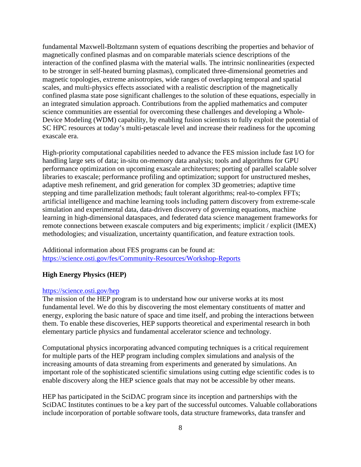fundamental Maxwell-Boltzmann system of equations describing the properties and behavior of magnetically confined plasmas and on comparable materials science descriptions of the interaction of the confined plasma with the material walls. The intrinsic nonlinearities (expected to be stronger in self-heated burning plasmas), complicated three-dimensional geometries and magnetic topologies, extreme anisotropies, wide ranges of overlapping temporal and spatial scales, and multi-physics effects associated with a realistic description of the magnetically confined plasma state pose significant challenges to the solution of these equations, especially in an integrated simulation approach. Contributions from the applied mathematics and computer science communities are essential for overcoming these challenges and developing a Whole-Device Modeling (WDM) capability, by enabling fusion scientists to fully exploit the potential of SC HPC resources at today's multi-petascale level and increase their readiness for the upcoming exascale era.

High-priority computational capabilities needed to advance the FES mission include fast I/O for handling large sets of data; in-situ on-memory data analysis; tools and algorithms for GPU performance optimization on upcoming exascale architectures; porting of parallel scalable solver libraries to exascale; performance profiling and optimization; support for unstructured meshes, adaptive mesh refinement, and grid generation for complex 3D geometries; adaptive time stepping and time parallelization methods; fault tolerant algorithms; real-to-complex FFTs; artificial intelligence and machine learning tools including pattern discovery from extreme-scale simulation and experimental data, data-driven discovery of governing equations, machine learning in high-dimensional dataspaces, and federated data science management frameworks for remote connections between exascale computers and big experiments; implicit / explicit (IMEX) methodologies; and visualization, uncertainty quantification, and feature extraction tools.

Additional information about FES programs can be found at: <https://science.osti.gov/fes/Community-Resources/Workshop-Reports>

#### **High Energy Physics (HEP)**

#### <https://science.osti.gov/hep>

The mission of the HEP program is to understand how our universe works at its most fundamental level. We do this by discovering the most elementary constituents of matter and energy, exploring the basic nature of space and time itself, and probing the interactions between them. To enable these discoveries, HEP supports theoretical and experimental research in both elementary particle physics and fundamental accelerator science and technology.

Computational physics incorporating advanced computing techniques is a critical requirement for multiple parts of the HEP program including complex simulations and analysis of the increasing amounts of data streaming from experiments and generated by simulations. An important role of the sophisticated scientific simulations using cutting edge scientific codes is to enable discovery along the HEP science goals that may not be accessible by other means.

HEP has participated in the SciDAC program since its inception and partnerships with the SciDAC Institutes continues to be a key part of the successful outcomes. Valuable collaborations include incorporation of portable software tools, data structure frameworks, data transfer and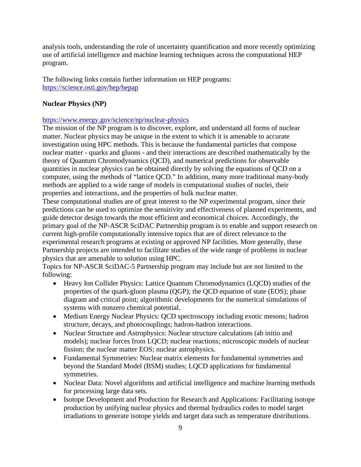analysis tools, understanding the role of uncertainty quantification and more recently optimizing use of artificial intelligence and machine learning techniques across the computational HEP program.

The following links contain further information on HEP programs: <https://science.osti.gov/hep/hepap>

# **Nuclear Physics (NP)**

## <https://www.energy.gov/science/np/nuclear-physics>

The mission of the NP program is to discover, explore, and understand all forms of nuclear matter. Nuclear physics may be unique in the extent to which it is amenable to accurate investigation using HPC methods. This is because the fundamental particles that compose nuclear matter - quarks and gluons - and their interactions are described mathematically by the theory of Quantum Chromodynamics (QCD), and numerical predictions for observable quantities in nuclear physics can be obtained directly by solving the equations of QCD on a computer, using the methods of "lattice QCD." In addition, many more traditional many-body methods are applied to a wide range of models in computational studies of nuclei, their properties and interactions, and the properties of bulk nuclear matter.

These computational studies are of great interest to the NP experimental program, since their predictions can be used to optimize the sensitivity and effectiveness of planned experiments, and guide detector design towards the most efficient and economical choices. Accordingly, the primary goal of the NP-ASCR SciDAC Partnership program is to enable and support research on current high-profile computationally intensive topics that are of direct relevance to the experimental research programs at existing or approved NP facilities. More generally, these Partnership projects are intended to facilitate studies of the wide range of problems in nuclear physics that are amenable to solution using HPC.

Topics for NP-ASCR SciDAC-5 Partnership program may include but are not limited to the following:

- Heavy Ion Collider Physics: Lattice Quantum Chromodynamics (LQCD) studies of the properties of the quark-gluon plasma (QGP); the QCD equation of state (EOS); phase diagram and critical point; algorithmic developments for the numerical simulations of systems with nonzero chemical potential.
- Medium Energy Nuclear Physics: QCD spectroscopy including exotic mesons; hadron structure, decays, and photocouplings; hadron-hadron interactions.
- Nuclear Structure and Astrophysics: Nuclear structure calculations (ab initio and models); nuclear forces from LQCD; nuclear reactions; microscopic models of nuclear fission; the nuclear matter EOS; nuclear astrophysics.
- Fundamental Symmetries: Nuclear matrix elements for fundamental symmetries and beyond the Standard Model (BSM) studies; LQCD applications for fundamental symmetries.
- Nuclear Data: Novel algorithms and artificial intelligence and machine learning methods for processing large data sets.
- Isotope Development and Production for Research and Applications: Facilitating isotope production by unifying nuclear physics and thermal hydraulics codes to model target irradiations to generate isotope yields and target data such as temperature distributions.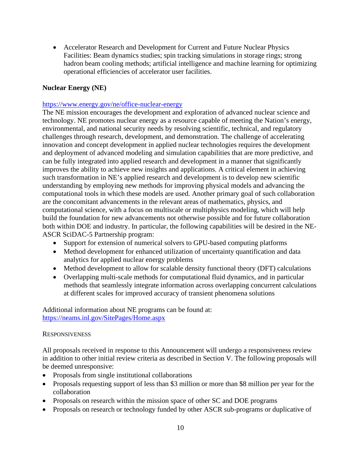• Accelerator Research and Development for Current and Future Nuclear Physics Facilities: Beam dynamics studies; spin tracking simulations in storage rings; strong hadron beam cooling methods; artificial intelligence and machine learning for optimizing operational efficiencies of accelerator user facilities.

## **Nuclear Energy (NE)**

#### <https://www.energy.gov/ne/office-nuclear-energy>

The NE mission encourages the development and exploration of advanced nuclear science and technology. NE promotes nuclear energy as a resource capable of meeting the Nation's energy, environmental, and national security needs by resolving scientific, technical, and regulatory challenges through research, development, and demonstration. The challenge of accelerating innovation and concept development in applied nuclear technologies requires the development and deployment of advanced modeling and simulation capabilities that are more predictive, and can be fully integrated into applied research and development in a manner that significantly improves the ability to achieve new insights and applications. A critical element in achieving such transformation in NE's applied research and development is to develop new scientific understanding by employing new methods for improving physical models and advancing the computational tools in which these models are used. Another primary goal of such collaboration are the concomitant advancements in the relevant areas of mathematics, physics, and computational science, with a focus on multiscale or multiphysics modeling, which will help build the foundation for new advancements not otherwise possible and for future collaboration both within DOE and industry. In particular, the following capabilities will be desired in the NE-ASCR SciDAC-5 Partnership program:

- Support for extension of numerical solvers to GPU-based computing platforms
- Method development for enhanced utilization of uncertainty quantification and data analytics for applied nuclear energy problems
- Method development to allow for scalable density functional theory (DFT) calculations
- Overlapping multi-scale methods for computational fluid dynamics, and in particular methods that seamlessly integrate information across overlapping concurrent calculations at different scales for improved accuracy of transient phenomena solutions

Additional information about NE programs can be found at: <https://neams.inl.gov/SitePages/Home.aspx>

#### **RESPONSIVENESS**

All proposals received in response to this Announcement will undergo a responsiveness review in addition to other initial review criteria as described in Section V. The following proposals will be deemed unresponsive:

- Proposals from single institutional collaborations
- Proposals requesting support of less than \$3 million or more than \$8 million per year for the collaboration
- Proposals on research within the mission space of other SC and DOE programs
- Proposals on research or technology funded by other ASCR sub-programs or duplicative of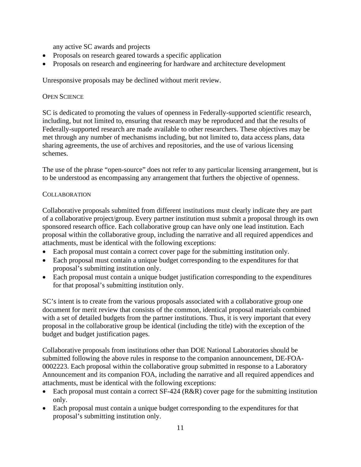any active SC awards and projects

- Proposals on research geared towards a specific application
- Proposals on research and engineering for hardware and architecture development

Unresponsive proposals may be declined without merit review.

#### OPEN SCIENCE

SC is dedicated to promoting the values of openness in Federally-supported scientific research, including, but not limited to, ensuring that research may be reproduced and that the results of Federally-supported research are made available to other researchers. These objectives may be met through any number of mechanisms including, but not limited to, data access plans, data sharing agreements, the use of archives and repositories, and the use of various licensing schemes.

The use of the phrase "open-source" does not refer to any particular licensing arrangement, but is to be understood as encompassing any arrangement that furthers the objective of openness.

#### **COLLABORATION**

Collaborative proposals submitted from different institutions must clearly indicate they are part of a collaborative project/group. Every partner institution must submit a proposal through its own sponsored research office. Each collaborative group can have only one lead institution. Each proposal within the collaborative group, including the narrative and all required appendices and attachments, must be identical with the following exceptions:

- Each proposal must contain a correct cover page for the submitting institution only.
- Each proposal must contain a unique budget corresponding to the expenditures for that proposal's submitting institution only.
- Each proposal must contain a unique budget justification corresponding to the expenditures for that proposal's submitting institution only.

SC's intent is to create from the various proposals associated with a collaborative group one document for merit review that consists of the common, identical proposal materials combined with a set of detailed budgets from the partner institutions. Thus, it is very important that every proposal in the collaborative group be identical (including the title) with the exception of the budget and budget justification pages.

Collaborative proposals from institutions other than DOE National Laboratories should be submitted following the above rules in response to the companion announcement, DE-FOA-0002223. Each proposal within the collaborative group submitted in response to a Laboratory Announcement and its companion FOA, including the narrative and all required appendices and attachments, must be identical with the following exceptions:

- Each proposal must contain a correct SF-424 (R&R) cover page for the submitting institution only.
- Each proposal must contain a unique budget corresponding to the expenditures for that proposal's submitting institution only.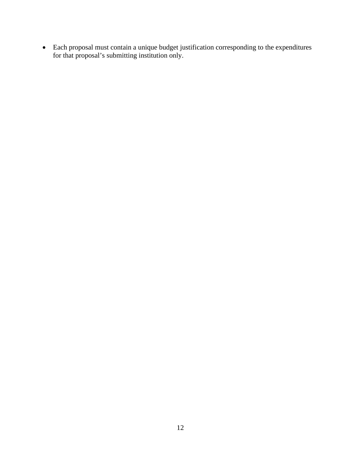• Each proposal must contain a unique budget justification corresponding to the expenditures for that proposal's submitting institution only.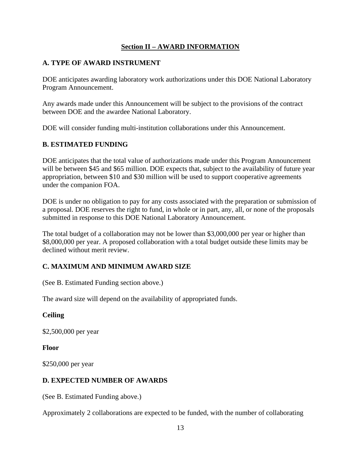# **Section II – AWARD INFORMATION**

# <span id="page-18-1"></span><span id="page-18-0"></span>**A. TYPE OF AWARD INSTRUMENT**

DOE anticipates awarding laboratory work authorizations under this DOE National Laboratory Program Announcement.

Any awards made under this Announcement will be subject to the provisions of the contract between DOE and the awardee National Laboratory.

DOE will consider funding multi-institution collaborations under this Announcement.

# <span id="page-18-2"></span>**B. ESTIMATED FUNDING**

DOE anticipates that the total value of authorizations made under this Program Announcement will be between \$45 and \$65 million. DOE expects that, subject to the availability of future year appropriation, between \$10 and \$30 million will be used to support cooperative agreements under the companion FOA.

DOE is under no obligation to pay for any costs associated with the preparation or submission of a proposal. DOE reserves the right to fund, in whole or in part, any, all, or none of the proposals submitted in response to this DOE National Laboratory Announcement.

The total budget of a collaboration may not be lower than \$3,000,000 per year or higher than \$8,000,000 per year. A proposed collaboration with a total budget outside these limits may be declined without merit review.

# <span id="page-18-3"></span>**C. MAXIMUM AND MINIMUM AWARD SIZE**

(See B. Estimated Funding section above.)

The award size will depend on the availability of appropriated funds.

# **Ceiling**

\$2,500,000 per year

#### **Floor**

\$250,000 per year

# <span id="page-18-4"></span>**D. EXPECTED NUMBER OF AWARDS**

(See B. Estimated Funding above.)

Approximately 2 collaborations are expected to be funded, with the number of collaborating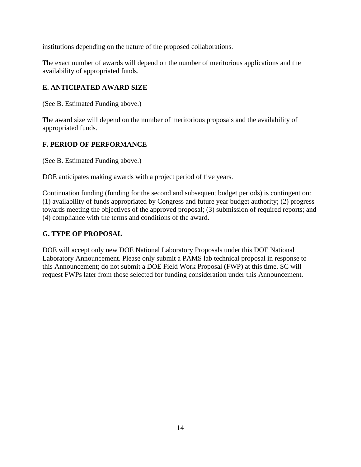institutions depending on the nature of the proposed collaborations.

The exact number of awards will depend on the number of meritorious applications and the availability of appropriated funds.

# <span id="page-19-0"></span>**E. ANTICIPATED AWARD SIZE**

(See B. Estimated Funding above.)

The award size will depend on the number of meritorious proposals and the availability of appropriated funds.

# <span id="page-19-1"></span>**F. PERIOD OF PERFORMANCE**

(See B. Estimated Funding above.)

DOE anticipates making awards with a project period of five years.

Continuation funding (funding for the second and subsequent budget periods) is contingent on: (1) availability of funds appropriated by Congress and future year budget authority; (2) progress towards meeting the objectives of the approved proposal; (3) submission of required reports; and (4) compliance with the terms and conditions of the award.

# <span id="page-19-2"></span>**G. TYPE OF PROPOSAL**

DOE will accept only new DOE National Laboratory Proposals under this DOE National Laboratory Announcement. Please only submit a PAMS lab technical proposal in response to this Announcement; do not submit a DOE Field Work Proposal (FWP) at this time. SC will request FWPs later from those selected for funding consideration under this Announcement.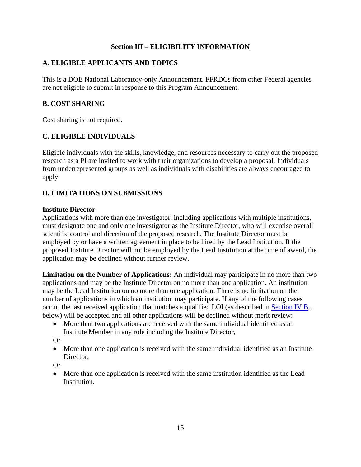# **Section III – ELIGIBILITY INFORMATION**

# <span id="page-20-1"></span><span id="page-20-0"></span>**A. ELIGIBLE APPLICANTS AND TOPICS**

This is a DOE National Laboratory-only Announcement. FFRDCs from other Federal agencies are not eligible to submit in response to this Program Announcement.

# <span id="page-20-2"></span>**B. COST SHARING**

Cost sharing is not required.

# <span id="page-20-3"></span>**C. ELIGIBLE INDIVIDUALS**

Eligible individuals with the skills, knowledge, and resources necessary to carry out the proposed research as a PI are invited to work with their organizations to develop a proposal. Individuals from underrepresented groups as well as individuals with disabilities are always encouraged to apply.

# <span id="page-20-4"></span>**D. LIMITATIONS ON SUBMISSIONS**

## **Institute Director**

Applications with more than one investigator, including applications with multiple institutions, must designate one and only one investigator as the Institute Director, who will exercise overall scientific control and direction of the proposed research. The Institute Director must be employed by or have a written agreement in place to be hired by the Lead Institution. If the proposed Institute Director will not be employed by the Lead Institution at the time of award, the application may be declined without further review.

**Limitation on the Number of Applications:** An individual may participate in no more than two applications and may be the Institute Director on no more than one application. An institution may be the Lead Institution on no more than one application. There is no limitation on the number of applications in which an institution may participate. If any of the following cases occur, the last received application that matches a qualified LOI (as described in Section IV B., below) will be accepted and all other applications will be declined without merit review:

• More than two applications are received with the same individual identified as an Institute Member in any role including the Institute Director,

Or

• More than one application is received with the same individual identified as an Institute Director,

Or

• More than one application is received with the same institution identified as the Lead Institution.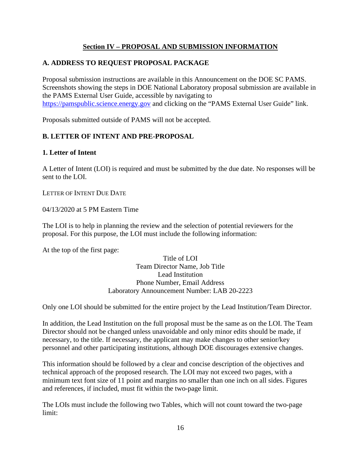# **Section IV – PROPOSAL AND SUBMISSION INFORMATION**

# <span id="page-21-1"></span><span id="page-21-0"></span>**A. ADDRESS TO REQUEST PROPOSAL PACKAGE**

Proposal submission instructions are available in this Announcement on the DOE SC PAMS. Screenshots showing the steps in DOE National Laboratory proposal submission are available in the PAMS External User Guide, accessible by navigating to [https://pamspublic.science.energy.gov](https://pamspublic.science.energy.gov/) and clicking on the "PAMS External User Guide" link.

Proposals submitted outside of PAMS will not be accepted.

# <span id="page-21-2"></span>**B. LETTER OF INTENT AND PRE-PROPOSAL**

## **1. Letter of Intent**

A Letter of Intent (LOI) is required and must be submitted by the due date. No responses will be sent to the LOI.

LETTER OF INTENT DUE DATE

04/13/2020 at 5 PM Eastern Time

The LOI is to help in planning the review and the selection of potential reviewers for the proposal. For this purpose, the LOI must include the following information:

At the top of the first page:

Title of LOI Team Director Name, Job Title Lead Institution Phone Number, Email Address Laboratory Announcement Number: LAB 20-2223

Only one LOI should be submitted for the entire project by the Lead Institution/Team Director.

In addition, the Lead Institution on the full proposal must be the same as on the LOI. The Team Director should not be changed unless unavoidable and only minor edits should be made, if necessary, to the title. If necessary, the applicant may make changes to other senior/key personnel and other participating institutions, although DOE discourages extensive changes.

This information should be followed by a clear and concise description of the objectives and technical approach of the proposed research. The LOI may not exceed two pages, with a minimum text font size of 11 point and margins no smaller than one inch on all sides. Figures and references, if included, must fit within the two-page limit.

The LOIs must include the following two Tables, which will not count toward the two-page limit: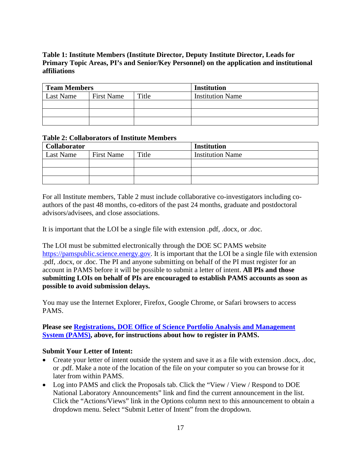# **Table 1: Institute Members (Institute Director, Deputy Institute Director, Leads for Primary Topic Areas, PI's and Senior/Key Personnel) on the application and institutional affiliations**

| <b>Team Members</b> |                   |       | <b>Institution</b>      |  |  |
|---------------------|-------------------|-------|-------------------------|--|--|
| Last Name           | <b>First Name</b> | Title | <b>Institution Name</b> |  |  |
|                     |                   |       |                         |  |  |
|                     |                   |       |                         |  |  |
|                     |                   |       |                         |  |  |

#### **Table 2: Collaborators of Institute Members**

| <b>Collaborator</b> |                   |       | <b>Institution</b>      |
|---------------------|-------------------|-------|-------------------------|
| Last Name           | <b>First Name</b> | Title | <b>Institution Name</b> |
|                     |                   |       |                         |
|                     |                   |       |                         |
|                     |                   |       |                         |

For all Institute members, Table 2 must include collaborative co-investigators including coauthors of the past 48 months, co-editors of the past 24 months, graduate and postdoctoral advisors/advisees, and close associations.

It is important that the LOI be a single file with extension .pdf, .docx, or .doc.

The LOI must be submitted electronically through the DOE SC PAMS website [https://pamspublic.science.energy.gov.](https://pamspublic.science.energy.gov/) It is important that the LOI be a single file with extension .pdf, .docx, or .doc. The PI and anyone submitting on behalf of the PI must register for an account in PAMS before it will be possible to submit a letter of intent. **All PIs and those submitting LOIs on behalf of PIs are encouraged to establish PAMS accounts as soon as possible to avoid submission delays.**

You may use the Internet Explorer, Firefox, Google Chrome, or Safari browsers to access PAMS.

#### **Please see Registrations, DOE Office of Science Portfolio Analysis and Management System (PAMS), above, for instructions about how to register in PAMS.**

## **Submit Your Letter of Intent:**

- Create your letter of intent outside the system and save it as a file with extension .docx, .doc, or .pdf. Make a note of the location of the file on your computer so you can browse for it later from within PAMS.
- Log into PAMS and click the Proposals tab. Click the "View / View / Respond to DOE National Laboratory Announcements" link and find the current announcement in the list. Click the "Actions/Views" link in the Options column next to this announcement to obtain a dropdown menu. Select "Submit Letter of Intent" from the dropdown.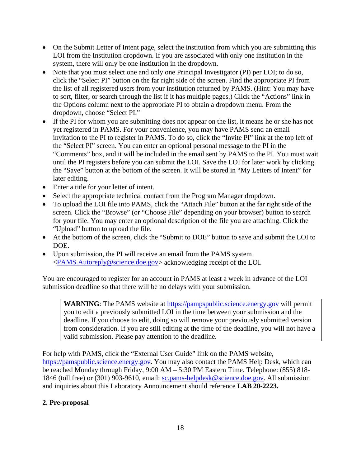- On the Submit Letter of Intent page, select the institution from which you are submitting this LOI from the Institution dropdown. If you are associated with only one institution in the system, there will only be one institution in the dropdown.
- Note that you must select one and only one Principal Investigator (PI) per LOI; to do so, click the "Select PI" button on the far right side of the screen. Find the appropriate PI from the list of all registered users from your institution returned by PAMS. (Hint: You may have to sort, filter, or search through the list if it has multiple pages.) Click the "Actions" link in the Options column next to the appropriate PI to obtain a dropdown menu. From the dropdown, choose "Select PI."
- If the PI for whom you are submitting does not appear on the list, it means he or she has not yet registered in PAMS. For your convenience, you may have PAMS send an email invitation to the PI to register in PAMS. To do so, click the "Invite PI" link at the top left of the "Select PI" screen. You can enter an optional personal message to the PI in the "Comments" box, and it will be included in the email sent by PAMS to the PI. You must wait until the PI registers before you can submit the LOI. Save the LOI for later work by clicking the "Save" button at the bottom of the screen. It will be stored in "My Letters of Intent" for later editing.
- Enter a title for your letter of intent.
- Select the appropriate technical contact from the Program Manager dropdown.
- To upload the LOI file into PAMS, click the "Attach File" button at the far right side of the screen. Click the "Browse" (or "Choose File" depending on your browser) button to search for your file. You may enter an optional description of the file you are attaching. Click the "Upload" button to upload the file.
- At the bottom of the screen, click the "Submit to DOE" button to save and submit the LOI to DOE.
- Upon submission, the PI will receive an email from the PAMS system [<PAMS.Autoreply@science.doe.gov>](mailto:PAMS.Autoreply@science.doe.gov) acknowledging receipt of the LOI.

You are encouraged to register for an account in PAMS at least a week in advance of the LOI submission deadline so that there will be no delays with your submission.

**WARNING**: The PAMS website at [https://pampspublic.science.energy.gov](https://pamspublic.science.energy.gov/) will permit you to edit a previously submitted LOI in the time between your submission and the deadline. If you choose to edit, doing so will remove your previously submitted version from consideration. If you are still editing at the time of the deadline, you will not have a valid submission. Please pay attention to the deadline.

For help with PAMS, click the "External User Guide" link on the PAMS website, [https://pamspublic.science.energy.gov.](https://pamspublic.science.energy.gov/) You may also contact the PAMS Help Desk, which can be reached Monday through Friday, 9:00 AM – 5:30 PM Eastern Time. Telephone: (855) 818- 1846 (toll free) or (301) 903-9610, email: [sc.pams-helpdesk@science.doe.gov.](mailto:sc.pams-helpdesk@science.doe.gov) All submission and inquiries about this Laboratory Announcement should reference **LAB 20-2223.**

# **2. Pre-proposal**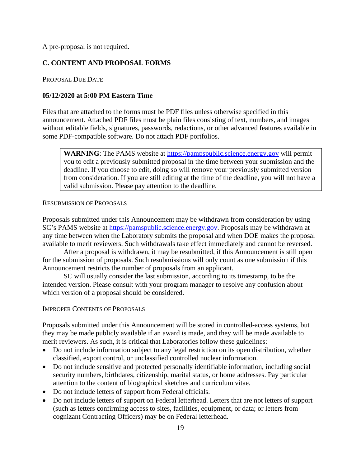A pre-proposal is not required.

# <span id="page-24-0"></span>**C. CONTENT AND PROPOSAL FORMS**

PROPOSAL DUE DATE

#### **05/12/2020 at 5:00 PM Eastern Time**

Files that are attached to the forms must be PDF files unless otherwise specified in this announcement. Attached PDF files must be plain files consisting of text, numbers, and images without editable fields, signatures, passwords, redactions, or other advanced features available in some PDF-compatible software. Do not attach PDF portfolios.

**WARNING**: The PAMS website at [https://pampspublic.science.energy.gov](https://pamspublic.science.energy.gov/webpamsepsexternal/login.aspx) will permit you to edit a previously submitted proposal in the time between your submission and the deadline. If you choose to edit, doing so will remove your previously submitted version from consideration. If you are still editing at the time of the deadline, you will not have a valid submission. Please pay attention to the deadline.

#### RESUBMISSION OF PROPOSALS

Proposals submitted under this Announcement may be withdrawn from consideration by using SC's PAMS website at [https://pamspublic.science.energy.gov.](https://pamspublic.science.energy.gov/) Proposals may be withdrawn at any time between when the Laboratory submits the proposal and when DOE makes the proposal available to merit reviewers. Such withdrawals take effect immediately and cannot be reversed.

After a proposal is withdrawn, it may be resubmitted, if this Announcement is still open for the submission of proposals. Such resubmissions will only count as one submission if this Announcement restricts the number of proposals from an applicant.

SC will usually consider the last submission, according to its timestamp, to be the intended version. Please consult with your program manager to resolve any confusion about which version of a proposal should be considered.

#### IMPROPER CONTENTS OF PROPOSALS

Proposals submitted under this Announcement will be stored in controlled-access systems, but they may be made publicly available if an award is made, and they will be made available to merit reviewers. As such, it is critical that Laboratories follow these guidelines:

- Do not include information subject to any legal restriction on its open distribution, whether classified, export control, or unclassified controlled nuclear information.
- Do not include sensitive and protected personally identifiable information, including social security numbers, birthdates, citizenship, marital status, or home addresses. Pay particular attention to the content of biographical sketches and curriculum vitae.
- Do not include letters of support from Federal officials.
- Do not include letters of support on Federal letterhead. Letters that are not letters of support (such as letters confirming access to sites, facilities, equipment, or data; or letters from cognizant Contracting Officers) may be on Federal letterhead.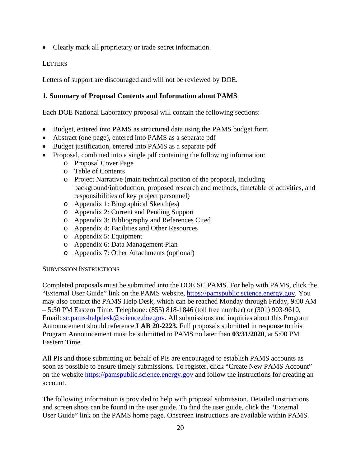• Clearly mark all proprietary or trade secret information.

## **LETTERS**

Letters of support are discouraged and will not be reviewed by DOE.

# **1. Summary of Proposal Contents and Information about PAMS**

Each DOE National Laboratory proposal will contain the following sections:

- Budget, entered into PAMS as structured data using the PAMS budget form
- Abstract (one page), entered into PAMS as a separate pdf
- Budget justification, entered into PAMS as a separate pdf
- Proposal, combined into a single pdf containing the following information:
	- o Proposal Cover Page
	- o Table of Contents
	- o Project Narrative (main technical portion of the proposal, including background/introduction, proposed research and methods, timetable of activities, and responsibilities of key project personnel)
	- o Appendix 1: Biographical Sketch(es)
	- o Appendix 2: Current and Pending Support
	- o Appendix 3: Bibliography and References Cited
	- o Appendix 4: Facilities and Other Resources
	- o Appendix 5: Equipment
	- o Appendix 6: Data Management Plan
	- o Appendix 7: Other Attachments (optional)

#### SUBMISSION INSTRUCTIONS

Completed proposals must be submitted into the DOE SC PAMS. For help with PAMS, click the "External User Guide" link on the PAMS website, [https://pamspublic.science.energy.gov.](https://pamspublic.science.energy.gov/) You may also contact the PAMS Help Desk, which can be reached Monday through Friday, 9:00 AM – 5:30 PM Eastern Time. Telephone: (855) 818-1846 (toll free number) or (301) 903-9610, Email: [sc.pams-helpdesk@science.doe.gov.](mailto:sc.pams-helpdesk@science.doe.gov) All submissions and inquiries about this Program Announcement should reference **LAB 20-2223.** Full proposals submitted in response to this Program Announcement must be submitted to PAMS no later than **03/31/2020**, at 5:00 PM Eastern Time.

All PIs and those submitting on behalf of PIs are encouraged to establish PAMS accounts as soon as possible to ensure timely submissions**.** To register, click "Create New PAMS Account" on the website [https://pamspublic.science.energy.gov](https://pamspublic.science.energy.gov/) and follow the instructions for creating an account.

The following information is provided to help with proposal submission. Detailed instructions and screen shots can be found in the user guide. To find the user guide, click the "External User Guide" link on the PAMS home page. Onscreen instructions are available within PAMS.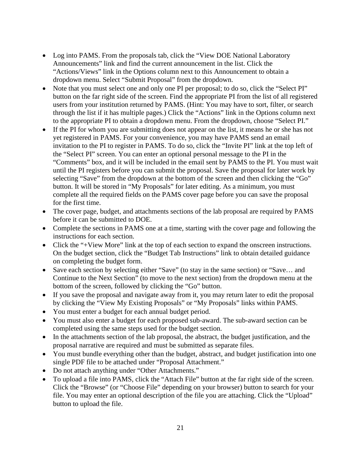- Log into PAMS. From the proposals tab, click the "View DOE National Laboratory Announcements" link and find the current announcement in the list. Click the "Actions/Views" link in the Options column next to this Announcement to obtain a dropdown menu. Select "Submit Proposal" from the dropdown.
- Note that you must select one and only one PI per proposal; to do so, click the "Select PI" button on the far right side of the screen. Find the appropriate PI from the list of all registered users from your institution returned by PAMS. (Hint: You may have to sort, filter, or search through the list if it has multiple pages.) Click the "Actions" link in the Options column next to the appropriate PI to obtain a dropdown menu. From the dropdown, choose "Select PI."
- If the PI for whom you are submitting does not appear on the list, it means he or she has not yet registered in PAMS. For your convenience, you may have PAMS send an email invitation to the PI to register in PAMS. To do so, click the "Invite PI" link at the top left of the "Select PI" screen. You can enter an optional personal message to the PI in the "Comments" box, and it will be included in the email sent by PAMS to the PI. You must wait until the PI registers before you can submit the proposal. Save the proposal for later work by selecting "Save" from the dropdown at the bottom of the screen and then clicking the "Go" button. It will be stored in "My Proposals" for later editing. As a minimum, you must complete all the required fields on the PAMS cover page before you can save the proposal for the first time.
- The cover page, budget, and attachments sections of the lab proposal are required by PAMS before it can be submitted to DOE.
- Complete the sections in PAMS one at a time, starting with the cover page and following the instructions for each section.
- Click the "+View More" link at the top of each section to expand the onscreen instructions. On the budget section, click the "Budget Tab Instructions" link to obtain detailed guidance on completing the budget form.
- Save each section by selecting either "Save" (to stay in the same section) or "Save... and Continue to the Next Section" (to move to the next section) from the dropdown menu at the bottom of the screen, followed by clicking the "Go" button.
- If you save the proposal and navigate away from it, you may return later to edit the proposal by clicking the "View My Existing Proposals" or "My Proposals" links within PAMS.
- You must enter a budget for each annual budget period.
- You must also enter a budget for each proposed sub-award. The sub-award section can be completed using the same steps used for the budget section.
- In the attachments section of the lab proposal, the abstract, the budget justification, and the proposal narrative are required and must be submitted as separate files.
- You must bundle everything other than the budget, abstract, and budget justification into one single PDF file to be attached under "Proposal Attachment."
- Do not attach anything under "Other Attachments."
- To upload a file into PAMS, click the "Attach File" button at the far right side of the screen. Click the "Browse" (or "Choose File" depending on your browser) button to search for your file. You may enter an optional description of the file you are attaching. Click the "Upload" button to upload the file.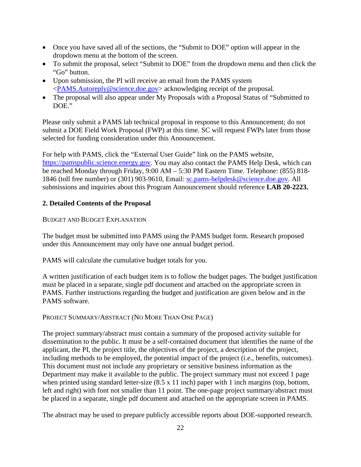- Once you have saved all of the sections, the "Submit to DOE" option will appear in the dropdown menu at the bottom of the screen.
- To submit the proposal, select "Submit to DOE" from the dropdown menu and then click the "Go" button.
- Upon submission, the PI will receive an email from the PAMS system [<PAMS.Autoreply@science.doe.gov>](mailto:PAMS.Autoreply@science.doe.gov) acknowledging receipt of the proposal.
- The proposal will also appear under My Proposals with a Proposal Status of "Submitted to" DOE."

Please only submit a PAMS lab technical proposal in response to this Announcement; do not submit a DOE Field Work Proposal (FWP) at this time. SC will request FWPs later from those selected for funding consideration under this Announcement.

For help with PAMS, click the "External User Guide" link on the PAMS website, [https://pamspublic.science.energy.gov.](https://pamspublic.science.energy.gov/) You may also contact the PAMS Help Desk, which can be reached Monday through Friday, 9:00 AM – 5:30 PM Eastern Time. Telephone: (855) 818- 1846 (toll free number) or (301) 903-9610, Email: [sc.pams-helpdesk@science.doe.gov.](mailto:sc.pams-helpdesk@science.doe.gov) All submissions and inquiries about this Program Announcement should reference **LAB 20-2223.**

# **2. Detailed Contents of the Proposal**

#### BUDGET AND BUDGET EXPLANATION

The budget must be submitted into PAMS using the PAMS budget form. Research proposed under this Announcement may only have one annual budget period.

PAMS will calculate the cumulative budget totals for you.

A written justification of each budget item is to follow the budget pages. The budget justification must be placed in a separate, single pdf document and attached on the appropriate screen in PAMS. Further instructions regarding the budget and justification are given below and in the PAMS software.

#### PROJECT SUMMARY/ABSTRACT (NO MORE THAN ONE PAGE)

The project summary/abstract must contain a summary of the proposed activity suitable for dissemination to the public. It must be a self-contained document that identifies the name of the applicant, the PI, the project title, the objectives of the project, a description of the project, including methods to be employed, the potential impact of the project (i.e., benefits, outcomes). This document must not include any proprietary or sensitive business information as the Department may make it available to the public. The project summary must not exceed 1 page when printed using standard letter-size  $(8.5 \times 11 \text{ inch})$  paper with 1 inch margins (top, bottom, left and right) with font not smaller than 11 point. The one-page project summary/abstract must be placed in a separate, single pdf document and attached on the appropriate screen in PAMS.

The abstract may be used to prepare publicly accessible reports about DOE-supported research.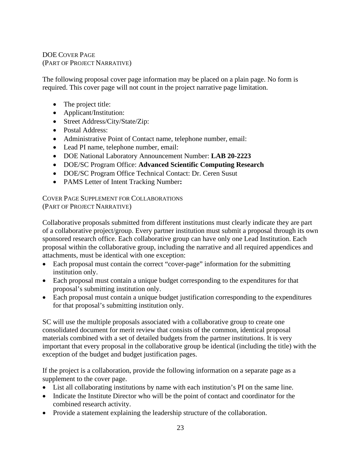# DOE COVER PAGE (PART OF PROJECT NARRATIVE)

The following proposal cover page information may be placed on a plain page. No form is required. This cover page will not count in the project narrative page limitation.

- The project title:
- Applicant/Institution:
- Street Address/City/State/Zip:
- Postal Address:
- Administrative Point of Contact name, telephone number, email:
- Lead PI name, telephone number, email:
- DOE National Laboratory Announcement Number: **LAB 20-2223**
- DOE/SC Program Office: **Advanced Scientific Computing Research**
- DOE/SC Program Office Technical Contact: Dr. Ceren Susut
- PAMS Letter of Intent Tracking Number**:**

COVER PAGE SUPPLEMENT FOR COLLABORATIONS (PART OF PROJECT NARRATIVE)

Collaborative proposals submitted from different institutions must clearly indicate they are part of a collaborative project/group. Every partner institution must submit a proposal through its own sponsored research office. Each collaborative group can have only one Lead Institution. Each proposal within the collaborative group, including the narrative and all required appendices and attachments, must be identical with one exception:

- Each proposal must contain the correct "cover-page" information for the submitting institution only.
- Each proposal must contain a unique budget corresponding to the expenditures for that proposal's submitting institution only.
- Each proposal must contain a unique budget justification corresponding to the expenditures for that proposal's submitting institution only.

SC will use the multiple proposals associated with a collaborative group to create one consolidated document for merit review that consists of the common, identical proposal materials combined with a set of detailed budgets from the partner institutions. It is very important that every proposal in the collaborative group be identical (including the title) with the exception of the budget and budget justification pages.

If the project is a collaboration, provide the following information on a separate page as a supplement to the cover page.

- List all collaborating institutions by name with each institution's PI on the same line.
- Indicate the Institute Director who will be the point of contact and coordinator for the combined research activity.
- Provide a statement explaining the leadership structure of the collaboration.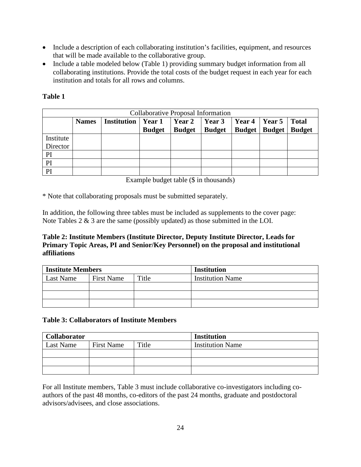- Include a description of each collaborating institution's facilities, equipment, and resources that will be made available to the collaborative group.
- Include a table modeled below (Table 1) providing summary budget information from all collaborating institutions. Provide the total costs of the budget request in each year for each institution and totals for all rows and columns.

| <b>Collaborative Proposal Information</b> |              |             |               |               |               |                      |               |               |
|-------------------------------------------|--------------|-------------|---------------|---------------|---------------|----------------------|---------------|---------------|
|                                           | <b>Names</b> | Institution | Year 1        | <b>Year 2</b> | Year 3        | Year $4 \mid$ Year 5 |               | <b>Total</b>  |
|                                           |              |             | <b>Budget</b> | <b>Budget</b> | <b>Budget</b> | <b>Budget</b>        | <b>Budget</b> | <b>Budget</b> |
| Institute                                 |              |             |               |               |               |                      |               |               |
| Director                                  |              |             |               |               |               |                      |               |               |
| PI                                        |              |             |               |               |               |                      |               |               |
| PI                                        |              |             |               |               |               |                      |               |               |
| PI                                        |              |             |               |               |               |                      |               |               |

## **Table 1**

Example budget table (\$ in thousands)

\* Note that collaborating proposals must be submitted separately.

In addition, the following three tables must be included as supplements to the cover page: Note Tables  $2 \& 3$  are the same (possibly updated) as those submitted in the LOI.

## **Table 2: Institute Members (Institute Director, Deputy Institute Director, Leads for Primary Topic Areas, PI and Senior/Key Personnel) on the proposal and institutional affiliations**

| <b>Institute Members</b> |                   |       | <b>Institution</b>      |
|--------------------------|-------------------|-------|-------------------------|
| Last Name                | <b>First Name</b> | Title | <b>Institution Name</b> |
|                          |                   |       |                         |
|                          |                   |       |                         |
|                          |                   |       |                         |

#### **Table 3: Collaborators of Institute Members**

| <b>Collaborator</b> |                   |       | <b>Institution</b>      |
|---------------------|-------------------|-------|-------------------------|
| Last Name           | <b>First Name</b> | Title | <b>Institution Name</b> |
|                     |                   |       |                         |
|                     |                   |       |                         |
|                     |                   |       |                         |

For all Institute members, Table 3 must include collaborative co-investigators including coauthors of the past 48 months, co-editors of the past 24 months, graduate and postdoctoral advisors/advisees, and close associations.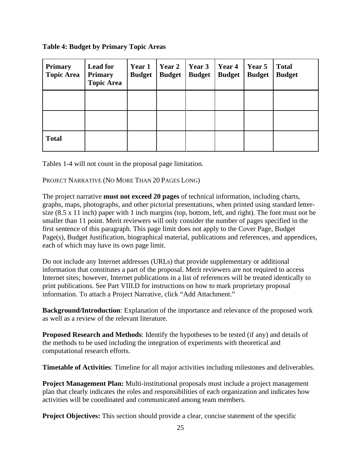**Table 4: Budget by Primary Topic Areas**

| <b>Primary</b><br><b>Topic Area</b> | <b>Lead for</b><br><b>Primary</b><br><b>Topic Area</b> | Year 1<br><b>Budget</b> | Year 2<br><b>Budget</b> | Year 3<br><b>Budget</b> | Year 4<br><b>Budget</b> | Year 5<br><b>Budget</b> | <b>Total</b><br><b>Budget</b> |
|-------------------------------------|--------------------------------------------------------|-------------------------|-------------------------|-------------------------|-------------------------|-------------------------|-------------------------------|
|                                     |                                                        |                         |                         |                         |                         |                         |                               |
|                                     |                                                        |                         |                         |                         |                         |                         |                               |
| <b>Total</b>                        |                                                        |                         |                         |                         |                         |                         |                               |

Tables 1-4 will not count in the proposal page limitation.

# PROJECT NARRATIVE (NO MORE THAN 20 PAGES LONG)

The project narrative **must not exceed 20 pages** of technical information, including charts, graphs, maps, photographs, and other pictorial presentations, when printed using standard lettersize (8.5 x 11 inch) paper with 1 inch margins (top, bottom, left, and right). The font must not be smaller than 11 point. Merit reviewers will only consider the number of pages specified in the first sentence of this paragraph. This page limit does not apply to the Cover Page, Budget Page(s), Budget Justification, biographical material, publications and references, and appendices, each of which may have its own page limit.

Do not include any Internet addresses (URLs) that provide supplementary or additional information that constitutes a part of the proposal. Merit reviewers are not required to access Internet sites; however, Internet publications in a list of references will be treated identically to print publications. See Part VIII.D for instructions on how to mark proprietary proposal information. To attach a Project Narrative, click "Add Attachment."

**Background/Introduction**: Explanation of the importance and relevance of the proposed work as well as a review of the relevant literature.

**Proposed Research and Methods**: Identify the hypotheses to be tested (if any) and details of the methods to be used including the integration of experiments with theoretical and computational research efforts.

**Timetable of Activities**: Timeline for all major activities including milestones and deliverables.

**Project Management Plan:** Multi-institutional proposals must include a project management plan that clearly indicates the roles and responsibilities of each organization and indicates how activities will be coordinated and communicated among team members.

**Project Objectives:** This section should provide a clear, concise statement of the specific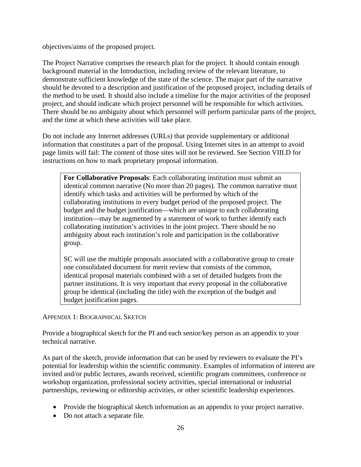objectives/aims of the proposed project.

The Project Narrative comprises the research plan for the project. It should contain enough background material in the Introduction, including review of the relevant literature, to demonstrate sufficient knowledge of the state of the science. The major part of the narrative should be devoted to a description and justification of the proposed project, including details of the method to be used. It should also include a timeline for the major activities of the proposed project, and should indicate which project personnel will be responsible for which activities. There should be no ambiguity about which personnel will perform particular parts of the project, and the time at which these activities will take place.

Do not include any Internet addresses (URLs) that provide supplementary or additional information that constitutes a part of the proposal. Using Internet sites in an attempt to avoid page limits will fail: The content of those sites will not be reviewed. See Section VIII.D for instructions on how to mark proprietary proposal information.

**For Collaborative Proposals**: Each collaborating institution must submit an identical common narrative (No more than 20 pages). The common narrative must identify which tasks and activities will be performed by which of the collaborating institutions in every budget period of the proposed project. The budget and the budget justification—which are unique to each collaborating institution—may be augmented by a statement of work to further identify each collaborating institution's activities in the joint project. There should be no ambiguity about each institution's role and participation in the collaborative group.

SC will use the multiple proposals associated with a collaborative group to create one consolidated document for merit review that consists of the common, identical proposal materials combined with a set of detailed budgets from the partner institutions. It is very important that every proposal in the collaborative group be identical (including the title) with the exception of the budget and budget justification pages.

APPENDIX 1: BIOGRAPHICAL SKETCH

Provide a biographical sketch for the PI and each senior/key person as an appendix to your technical narrative.

As part of the sketch, provide information that can be used by reviewers to evaluate the PI's potential for leadership within the scientific community. Examples of information of interest are invited and/or public lectures, awards received, scientific program committees, conference or workshop organization, professional society activities, special international or industrial partnerships, reviewing or editorship activities, or other scientific leadership experiences.

- Provide the biographical sketch information as an appendix to your project narrative.
- Do not attach a separate file.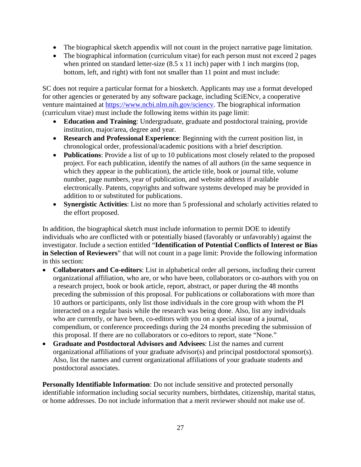- The biographical sketch appendix will not count in the project narrative page limitation.
- The biographical information (curriculum vitae) for each person must not exceed 2 pages when printed on standard letter-size  $(8.5 \times 11 \text{ inch})$  paper with 1 inch margins (top, bottom, left, and right) with font not smaller than 11 point and must include:

SC does not require a particular format for a biosketch. Applicants may use a format developed for other agencies or generated by any software package, including SciENcv, a cooperative venture maintained at [https://www.ncbi.nlm.nih.gov/sciencv.](https://www.ncbi.nlm.nih.gov/sciencv) The biographical information (curriculum vitae) must include the following items within its page limit:

- **Education and Training**: Undergraduate, graduate and postdoctoral training, provide institution, major/area, degree and year.
- **Research and Professional Experience**: Beginning with the current position list, in chronological order, professional/academic positions with a brief description.
- **Publications**: Provide a list of up to 10 publications most closely related to the proposed project. For each publication, identify the names of all authors (in the same sequence in which they appear in the publication), the article title, book or journal title, volume number, page numbers, year of publication, and website address if available electronically. Patents, copyrights and software systems developed may be provided in addition to or substituted for publications.
- **Synergistic Activities**: List no more than 5 professional and scholarly activities related to the effort proposed.

In addition, the biographical sketch must include information to permit DOE to identify individuals who are conflicted with or potentially biased (favorably or unfavorably) against the investigator. Include a section entitled "**Identification of Potential Conflicts of Interest or Bias in Selection of Reviewers**" that will not count in a page limit: Provide the following information in this section:

- **Collaborators and Co-editors**: List in alphabetical order all persons, including their current organizational affiliation, who are, or who have been, collaborators or co-authors with you on a research project, book or book article, report, abstract, or paper during the 48 months preceding the submission of this proposal. For publications or collaborations with more than 10 authors or participants, only list those individuals in the core group with whom the PI interacted on a regular basis while the research was being done. Also, list any individuals who are currently, or have been, co-editors with you on a special issue of a journal, compendium, or conference proceedings during the 24 months preceding the submission of this proposal. If there are no collaborators or co-editors to report, state "None."
- **Graduate and Postdoctoral Advisors and Advisees**: List the names and current organizational affiliations of your graduate advisor(s) and principal postdoctoral sponsor(s). Also, list the names and current organizational affiliations of your graduate students and postdoctoral associates.

**Personally Identifiable Information**: Do not include sensitive and protected personally identifiable information including social security numbers, birthdates, citizenship, marital status, or home addresses. Do not include information that a merit reviewer should not make use of.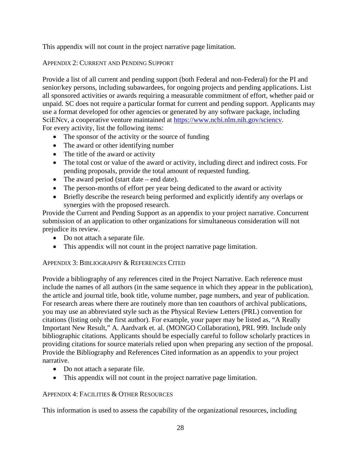This appendix will not count in the project narrative page limitation.

# APPENDIX 2: CURRENT AND PENDING SUPPORT

Provide a list of all current and pending support (both Federal and non-Federal) for the PI and senior/key persons, including subawardees, for ongoing projects and pending applications. List all sponsored activities or awards requiring a measurable commitment of effort, whether paid or unpaid. SC does not require a particular format for current and pending support. Applicants may use a format developed for other agencies or generated by any software package, including SciENcv, a cooperative venture maintained at [https://www.ncbi.nlm.nih.gov/sciencv.](https://www.ncbi.nlm.nih.gov/sciencv) For every activity, list the following items:

- The sponsor of the activity or the source of funding
- The award or other identifying number
- The title of the award or activity
- The total cost or value of the award or activity, including direct and indirect costs. For pending proposals, provide the total amount of requested funding.
- The award period (start date end date).
- The person-months of effort per year being dedicated to the award or activity
- Briefly describe the research being performed and explicitly identify any overlaps or synergies with the proposed research.

Provide the Current and Pending Support as an appendix to your project narrative. Concurrent submission of an application to other organizations for simultaneous consideration will not prejudice its review.

- Do not attach a separate file.
- This appendix will not count in the project narrative page limitation.

# APPENDIX 3: BIBLIOGRAPHY & REFERENCES CITED

Provide a bibliography of any references cited in the Project Narrative. Each reference must include the names of all authors (in the same sequence in which they appear in the publication), the article and journal title, book title, volume number, page numbers, and year of publication. For research areas where there are routinely more than ten coauthors of archival publications, you may use an abbreviated style such as the Physical Review Letters (PRL) convention for citations (listing only the first author). For example, your paper may be listed as, "A Really Important New Result," A. Aardvark et. al. (MONGO Collaboration), PRL 999. Include only bibliographic citations. Applicants should be especially careful to follow scholarly practices in providing citations for source materials relied upon when preparing any section of the proposal. Provide the Bibliography and References Cited information as an appendix to your project narrative.

- Do not attach a separate file.
- This appendix will not count in the project narrative page limitation.

# APPENDIX 4: FACILITIES & OTHER RESOURCES

This information is used to assess the capability of the organizational resources, including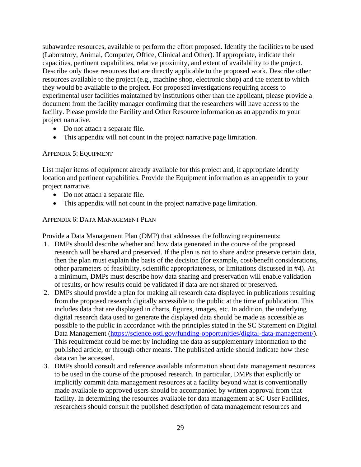subawardee resources, available to perform the effort proposed. Identify the facilities to be used (Laboratory, Animal, Computer, Office, Clinical and Other). If appropriate, indicate their capacities, pertinent capabilities, relative proximity, and extent of availability to the project. Describe only those resources that are directly applicable to the proposed work. Describe other resources available to the project (e.g., machine shop, electronic shop) and the extent to which they would be available to the project. For proposed investigations requiring access to experimental user facilities maintained by institutions other than the applicant, please provide a document from the facility manager confirming that the researchers will have access to the facility. Please provide the Facility and Other Resource information as an appendix to your project narrative.

- Do not attach a separate file.
- This appendix will not count in the project narrative page limitation.

#### APPENDIX 5: EQUIPMENT

List major items of equipment already available for this project and, if appropriate identify location and pertinent capabilities. Provide the Equipment information as an appendix to your project narrative.

- Do not attach a separate file.
- This appendix will not count in the project narrative page limitation.

#### APPENDIX 6: DATA MANAGEMENT PLAN

Provide a Data Management Plan (DMP) that addresses the following requirements:

- 1. DMPs should describe whether and how data generated in the course of the proposed research will be [shared](https://cms1.sc.osti.gov/funding-opportunities/digital-data-management/#Sharing) and [preserved.](https://cms1.sc.osti.gov/funding-opportunities/digital-data-management/#Preservation) If the plan is not to share and/or preserve certain data, then the plan must explain the basis of the decision (for example, cost/benefit considerations, other parameters of feasibility, scientific appropriateness, or limitations discussed in #4). At a minimum, DMPs must describe how data sharing and preservation will enable [validation](https://cms1.sc.osti.gov/funding-opportunities/digital-data-management/#Validate) of results, or how results could be validated if data are not shared or preserved.
- 2. DMPs should provide a plan for making all research data displayed in publications resulting from the proposed research digitally accessible to the public at the time of publication. This includes data that are displayed in charts, figures, images, etc. In addition, the underlying digital research data used to generate the displayed data should be made as accessible as possible to the public in accordance with the principles stated in the SC Statement on Digital Data Management [\(https://science.osti.gov/funding-opportunities/digital-data-management/\)](https://science.osti.gov/funding-opportunities/digital-data-management/). This requirement could be met by including the data as supplementary information to the published article, or through other means. The published article should indicate how these data can be accessed.
- 3. DMPs should consult and reference available information about data management resources to be used in the course of the proposed research. In particular, DMPs that explicitly or implicitly commit data management resources at a facility beyond what is conventionally made available to approved users should be accompanied by written approval from that facility. In determining the resources available for data management at SC User Facilities, researchers should consult the published [description of data management resources](https://cms1.sc.osti.gov/funding-opportunities/digital-data-management/resources-at-sc-user-facilities/) and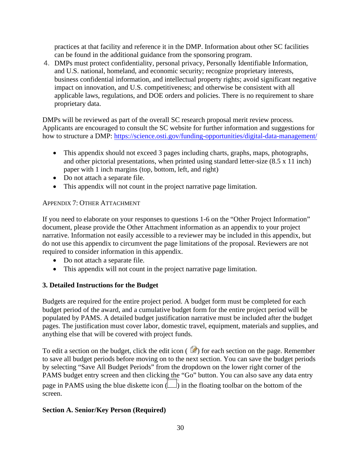practices at that facility and reference it in the DMP. Information about other SC facilities can be found in the [additional guidance from the sponsoring program.](https://cms1.sc.osti.gov/funding-opportunities/digital-data-management/#AdditionalGuidancePrograms)

4. DMPs must protect confidentiality, personal privacy, [Personally Identifiable Information,](https://cms1.sc.osti.gov/funding-opportunities/digital-data-management/faqs/#HSRFAQ) and U.S. national, homeland, and economic security; recognize proprietary interests, business confidential information, and intellectual property rights; avoid significant negative impact on innovation, and U.S. competitiveness; and otherwise be consistent with all applicable laws, regulations, and DOE orders and policies. There is no requirement to share proprietary data.

DMPs will be reviewed as part of the overall SC research proposal merit review process. Applicants are encouraged to consult the SC website for further information and suggestions for how to structure a DMP: <https://science.osti.gov/funding-opportunities/digital-data-management/>

- This appendix should not exceed 3 pages including charts, graphs, maps, photographs, and other pictorial presentations, when printed using standard letter-size (8.5 x 11 inch) paper with 1 inch margins (top, bottom, left, and right)
- Do not attach a separate file.
- This appendix will not count in the project narrative page limitation.

## APPENDIX 7: OTHER ATTACHMENT

If you need to elaborate on your responses to questions 1-6 on the "Other Project Information" document, please provide the Other Attachment information as an appendix to your project narrative. Information not easily accessible to a reviewer may be included in this appendix, but do not use this appendix to circumvent the page limitations of the proposal. Reviewers are not required to consider information in this appendix.

- Do not attach a separate file.
- This appendix will not count in the project narrative page limitation.

# **3. Detailed Instructions for the Budget**

Budgets are required for the entire project period. A budget form must be completed for each budget period of the award, and a cumulative budget form for the entire project period will be populated by PAMS. A detailed budget justification narrative must be included after the budget pages. The justification must cover labor, domestic travel, equipment, materials and supplies, and anything else that will be covered with project funds.

To edit a section on the budget, click the edit icon  $(\mathbb{Z})$  for each section on the page. Remember to save all budget periods before moving on to the next section. You can save the budget periods by selecting "Save All Budget Periods" from the dropdown on the lower right corner of the PAMS budget entry screen and then clicking the "Go" button. You can also save any data entry page in PAMS using the blue diskette icon  $(\Box)$  in the floating toolbar on the bottom of the screen. The picture can't be displayed.

# **Section A. Senior/Key Person (Required)**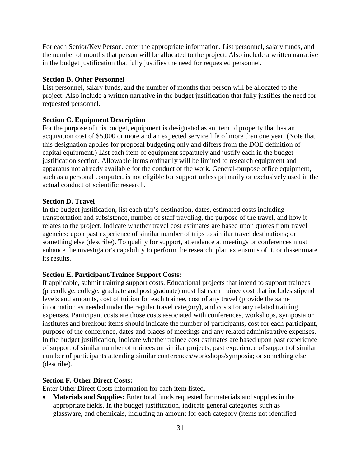For each Senior/Key Person, enter the appropriate information. List personnel, salary funds, and the number of months that person will be allocated to the project. Also include a written narrative in the budget justification that fully justifies the need for requested personnel.

#### **Section B. Other Personnel**

List personnel, salary funds, and the number of months that person will be allocated to the project. Also include a written narrative in the budget justification that fully justifies the need for requested personnel.

#### **Section C. Equipment Description**

For the purpose of this budget, equipment is designated as an item of property that has an acquisition cost of \$5,000 or more and an expected service life of more than one year. (Note that this designation applies for proposal budgeting only and differs from the DOE definition of capital equipment.) List each item of equipment separately and justify each in the budget justification section. Allowable items ordinarily will be limited to research equipment and apparatus not already available for the conduct of the work. General-purpose office equipment, such as a personal computer, is not eligible for support unless primarily or exclusively used in the actual conduct of scientific research.

#### **Section D. Travel**

In the budget justification, list each trip's destination, dates, estimated costs including transportation and subsistence, number of staff traveling, the purpose of the travel, and how it relates to the project. Indicate whether travel cost estimates are based upon quotes from travel agencies; upon past experience of similar number of trips to similar travel destinations; or something else (describe). To qualify for support, attendance at meetings or conferences must enhance the investigator's capability to perform the research, plan extensions of it, or disseminate its results.

#### **Section E. Participant/Trainee Support Costs:**

If applicable, submit training support costs. Educational projects that intend to support trainees (precollege, college, graduate and post graduate) must list each trainee cost that includes stipend levels and amounts, cost of tuition for each trainee, cost of any travel (provide the same information as needed under the regular travel category), and costs for any related training expenses. Participant costs are those costs associated with conferences, workshops, symposia or institutes and breakout items should indicate the number of participants, cost for each participant, purpose of the conference, dates and places of meetings and any related administrative expenses. In the budget justification, indicate whether trainee cost estimates are based upon past experience of support of similar number of trainees on similar projects; past experience of support of similar number of participants attending similar conferences/workshops/symposia; or something else (describe).

#### **Section F. Other Direct Costs:**

Enter Other Direct Costs information for each item listed.

• **Materials and Supplies:** Enter total funds requested for materials and supplies in the appropriate fields. In the budget justification, indicate general categories such as glassware, and chemicals, including an amount for each category (items not identified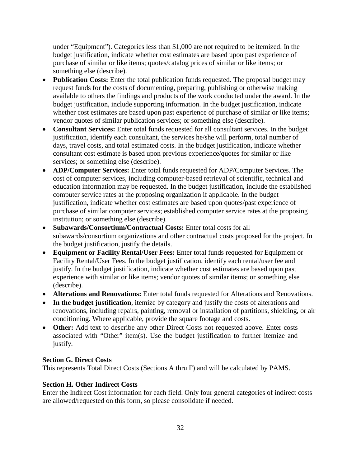under "Equipment"). Categories less than \$1,000 are not required to be itemized. In the budget justification, indicate whether cost estimates are based upon past experience of purchase of similar or like items; quotes/catalog prices of similar or like items; or something else (describe).

- **Publication Costs:** Enter the total publication funds requested. The proposal budget may request funds for the costs of documenting, preparing, publishing or otherwise making available to others the findings and products of the work conducted under the award. In the budget justification, include supporting information. In the budget justification, indicate whether cost estimates are based upon past experience of purchase of similar or like items; vendor quotes of similar publication services; or something else (describe).
- **Consultant Services:** Enter total funds requested for all consultant services. In the budget justification, identify each consultant, the services he/she will perform, total number of days, travel costs, and total estimated costs. In the budget justification, indicate whether consultant cost estimate is based upon previous experience/quotes for similar or like services; or something else (describe).
- **ADP/Computer Services:** Enter total funds requested for ADP/Computer Services. The cost of computer services, including computer-based retrieval of scientific, technical and education information may be requested. In the budget justification, include the established computer service rates at the proposing organization if applicable. In the budget justification, indicate whether cost estimates are based upon quotes/past experience of purchase of similar computer services; established computer service rates at the proposing institution; or something else (describe).
- **Subawards/Consortium/Contractual Costs:** Enter total costs for all subawards/consortium organizations and other contractual costs proposed for the project. In the budget justification, justify the details.
- **Equipment or Facility Rental/User Fees:** Enter total funds requested for Equipment or Facility Rental/User Fees. In the budget justification, identify each rental/user fee and justify. In the budget justification, indicate whether cost estimates are based upon past experience with similar or like items; vendor quotes of similar items; or something else (describe).
- **Alterations and Renovations:** Enter total funds requested for Alterations and Renovations.
- **In the budget justification**, itemize by category and justify the costs of alterations and renovations, including repairs, painting, removal or installation of partitions, shielding, or air conditioning. Where applicable, provide the square footage and costs.
- **Other:** Add text to describe any other Direct Costs not requested above. Enter costs associated with "Other" item(s). Use the budget justification to further itemize and justify.

# **Section G. Direct Costs**

This represents Total Direct Costs (Sections A thru F) and will be calculated by PAMS.

# **Section H. Other Indirect Costs**

Enter the Indirect Cost information for each field. Only four general categories of indirect costs are allowed/requested on this form, so please consolidate if needed.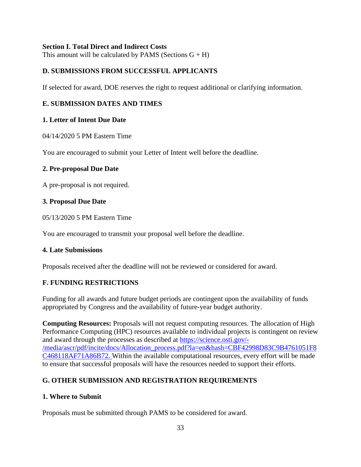## **Section I. Total Direct and Indirect Costs**

This amount will be calculated by PAMS (Sections  $G + H$ )

## <span id="page-38-0"></span>**D. SUBMISSIONS FROM SUCCESSFUL APPLICANTS**

If selected for award, DOE reserves the right to request additional or clarifying information.

# <span id="page-38-1"></span>**E. SUBMISSION DATES AND TIMES**

## **1. Letter of Intent Due Date**

04/14/2020 5 PM Eastern Time

You are encouraged to submit your Letter of Intent well before the deadline.

#### **2. Pre-proposal Due Date**

A pre-proposal is not required.

#### **3. Proposal Due Date**

05/13/2020 5 PM Eastern Time

You are encouraged to transmit your proposal well before the deadline.

#### **4. Late Submissions**

Proposals received after the deadline will not be reviewed or considered for award.

#### <span id="page-38-2"></span>**F. FUNDING RESTRICTIONS**

Funding for all awards and future budget periods are contingent upon the availability of funds appropriated by Congress and the availability of future-year budget authority.

**Computing Resources:** Proposals will not request computing resources. The allocation of High Performance Computing (HPC) resources available to individual projects is contingent on review and award through the processes as described at [https://science.osti.gov/-](https://science.osti.gov/-/media/ascr/pdf/incite/docs/Allocation_process.pdf?la=en&hash=CBF42998D83C9B4761051F8C468118AF71A86B72) [/media/ascr/pdf/incite/docs/Allocation\\_process.pdf?la=en&hash=CBF42998D83C9B4761051F8](https://science.osti.gov/-/media/ascr/pdf/incite/docs/Allocation_process.pdf?la=en&hash=CBF42998D83C9B4761051F8C468118AF71A86B72) [C468118AF71A86B72.](https://science.osti.gov/-/media/ascr/pdf/incite/docs/Allocation_process.pdf?la=en&hash=CBF42998D83C9B4761051F8C468118AF71A86B72) Within the available computational resources, every effort will be made to ensure that successful proposals will have the resources needed to support their efforts.

# <span id="page-38-3"></span>**G. OTHER SUBMISSION AND REGISTRATION REQUIREMENTS**

#### **1. Where to Submit**

Proposals must be submitted through PAMS to be considered for award.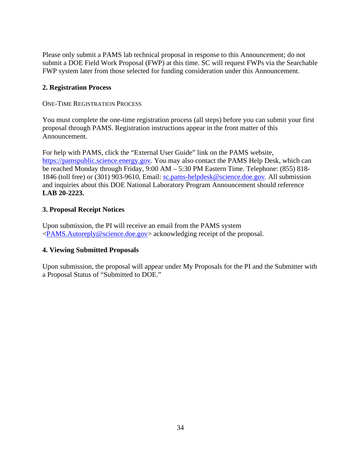Please only submit a PAMS lab technical proposal in response to this Announcement; do not submit a DOE Field Work Proposal (FWP) at this time. SC will request FWPs via the Searchable FWP system later from those selected for funding consideration under this Announcement.

# **2. Registration Process**

ONE-TIME REGISTRATION PROCESS

You must complete the one-time registration process (all steps) before you can submit your first proposal through PAMS. Registration instructions appear in the front matter of this Announcement.

For help with PAMS, click the "External User Guide" link on the PAMS website, [https://pamspublic.science.energy.gov.](https://pamspublic.science.energy.gov/) You may also contact the PAMS Help Desk, which can be reached Monday through Friday, 9:00 AM – 5:30 PM Eastern Time. Telephone: (855) 818- 1846 (toll free) or (301) 903-9610, Email: [sc.pams-helpdesk@science.doe.gov.](mailto:sc.pams-helpdesk@science.doe.gov) All submission and inquiries about this DOE National Laboratory Program Announcement should reference **LAB 20-2223.**

# **3. Proposal Receipt Notices**

Upon submission, the PI will receive an email from the PAMS system [<PAMS.Autoreply@science.doe.gov>](mailto:PAMS.Autoreply@science.doe.gov) acknowledging receipt of the proposal.

# **4. Viewing Submitted Proposals**

Upon submission, the proposal will appear under My Proposals for the PI and the Submitter with a Proposal Status of "Submitted to DOE."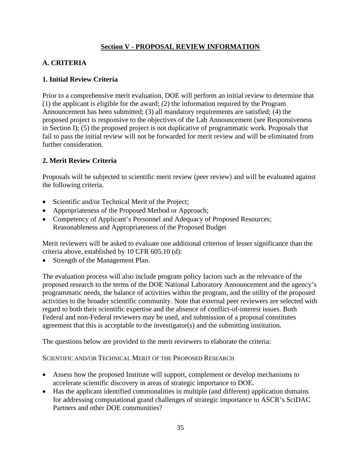# **Section V - PROPOSAL REVIEW INFORMATION**

# <span id="page-40-1"></span><span id="page-40-0"></span>**A. CRITERIA**

## **1. Initial Review Criteria**

Prior to a comprehensive merit evaluation, DOE will perform an initial review to determine that (1) the applicant is eligible for the award; (2) the information required by the Program Announcement has been submitted; (3) all mandatory requirements are satisfied; (4) the proposed project is responsive to the objectives of the Lab Announcement (see Responsiveness in Section I); (5) the proposed project is not duplicative of programmatic work. Proposals that fail to pass the initial review will not be forwarded for merit review and will be eliminated from further consideration.

# **2. Merit Review Criteria**

Proposals will be subjected to scientific merit review (peer review) and will be evaluated against the following criteria.

- Scientific and/or Technical Merit of the Project;
- Appropriateness of the Proposed Method or Approach;
- Competency of Applicant's Personnel and Adequacy of Proposed Resources; Reasonableness and Appropriateness of the Proposed Budget

Merit reviewers will be asked to evaluate one additional criterion of lesser significance than the criteria above, established by 10 CFR 605.10 (d):

Strength of the Management Plan.

The evaluation process will also include program policy factors such as the relevance of the proposed research to the terms of the DOE National Laboratory Announcement and the agency's programmatic needs, the balance of activities within the program, and the utility of the proposed activities to the broader scientific community. Note that external peer reviewers are selected with regard to both their scientific expertise and the absence of conflict-of-interest issues. Both Federal and non-Federal reviewers may be used, and submission of a proposal constitutes agreement that this is acceptable to the investigator(s) and the submitting institution.

The questions below are provided to the merit reviewers to elaborate the criteria:

SCIENTIFIC AND/OR TECHNICAL MERIT OF THE PROPOSED RESEARCH

- Assess how the proposed Institute will support, complement or develop mechanisms to accelerate scientific discovery in areas of strategic importance to DOE.
- Has the applicant identified commonalities in multiple (and different) application domains for addressing computational grand challenges of strategic importance to ASCR's SciDAC Partners and other DOE communities?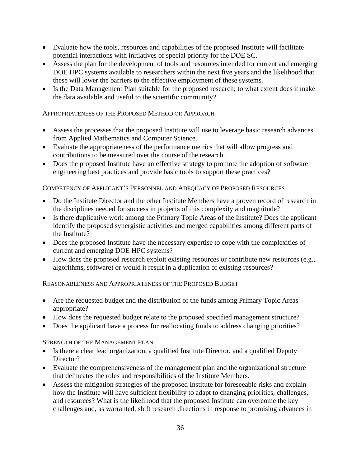- Evaluate how the tools, resources and capabilities of the proposed Institute will facilitate potential interactions with initiatives of special priority for the DOE SC.
- Assess the plan for the development of tools and resources intended for current and emerging DOE HPC systems available to researchers within the next five years and the likelihood that these will lower the barriers to the effective employment of these systems.
- Is the Data Management Plan suitable for the proposed research; to what extent does it make the data available and useful to the scientific community?

## APPROPRIATENESS OF THE PROPOSED METHOD OR APPROACH

- Assess the processes that the proposed Institute will use to leverage basic research advances from Applied Mathematics and Computer Science.
- Evaluate the appropriateness of the performance metrics that will allow progress and contributions to be measured over the course of the research.
- Does the proposed Institute have an effective strategy to promote the adoption of software engineering best practices and provide basic tools to support these practices?

## COMPETENCY OF APPLICANT'S PERSONNEL AND ADEQUACY OF PROPOSED RESOURCES

- Do the Institute Director and the other Institute Members have a proven record of research in the disciplines needed for success in projects of this complexity and magnitude?
- Is there duplicative work among the Primary Topic Areas of the Institute? Does the applicant identify the proposed synergistic activities and merged capabilities among different parts of the Institute?
- Does the proposed Institute have the necessary expertise to cope with the complexities of current and emerging DOE HPC systems?
- How does the proposed research exploit existing resources or contribute new resources (e.g., algorithms, software) or would it result in a duplication of existing resources?

# REASONABLENESS AND APPROPRIATENESS OF THE PROPOSED BUDGET

- Are the requested budget and the distribution of the funds among Primary Topic Areas appropriate?
- How does the requested budget relate to the proposed specified management structure?
- Does the applicant have a process for reallocating funds to address changing priorities?

# STRENGTH OF THE MANAGEMENT PLAN

- Is there a clear lead organization, a qualified Institute Director, and a qualified Deputy Director?
- Evaluate the comprehensiveness of the management plan and the organizational structure that delineates the roles and responsibilities of the Institute Members.
- Assess the mitigation strategies of the proposed Institute for foreseeable risks and explain how the Institute will have sufficient flexibility to adapt to changing priorities, challenges, and resources? What is the likelihood that the proposed Institute can overcome the key challenges and, as warranted, shift research directions in response to promising advances in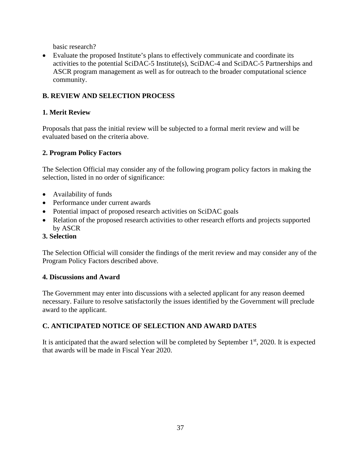basic research?

• Evaluate the proposed Institute's plans to effectively communicate and coordinate its activities to the potential SciDAC-5 Institute(s), SciDAC-4 and SciDAC-5 Partnerships and ASCR program management as well as for outreach to the broader computational science community.

# <span id="page-42-0"></span>**B. REVIEW AND SELECTION PROCESS**

# **1. Merit Review**

Proposals that pass the initial review will be subjected to a formal merit review and will be evaluated based on the criteria above.

# **2. Program Policy Factors**

The Selection Official may consider any of the following program policy factors in making the selection, listed in no order of significance:

- Availability of funds
- Performance under current awards
- Potential impact of proposed research activities on SciDAC goals
- Relation of the proposed research activities to other research efforts and projects supported by ASCR
- **3. Selection**

The Selection Official will consider the findings of the merit review and may consider any of the Program Policy Factors described above.

# **4. Discussions and Award**

The Government may enter into discussions with a selected applicant for any reason deemed necessary. Failure to resolve satisfactorily the issues identified by the Government will preclude award to the applicant.

# <span id="page-42-1"></span>**C. ANTICIPATED NOTICE OF SELECTION AND AWARD DATES**

It is anticipated that the award selection will be completed by September  $1<sup>st</sup>$ , 2020. It is expected that awards will be made in Fiscal Year 2020.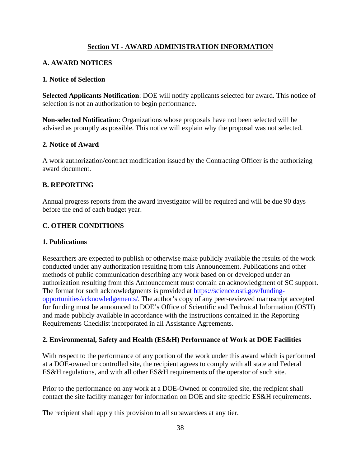# **Section VI - AWARD ADMINISTRATION INFORMATION**

# <span id="page-43-1"></span><span id="page-43-0"></span>**A. AWARD NOTICES**

## **1. Notice of Selection**

**Selected Applicants Notification**: DOE will notify applicants selected for award. This notice of selection is not an authorization to begin performance.

**Non-selected Notification**: Organizations whose proposals have not been selected will be advised as promptly as possible. This notice will explain why the proposal was not selected.

## **2. Notice of Award**

A work authorization/contract modification issued by the Contracting Officer is the authorizing award document.

# <span id="page-43-2"></span>**B. REPORTING**

Annual progress reports from the award investigator will be required and will be due 90 days before the end of each budget year.

# <span id="page-43-3"></span>**C. OTHER CONDITIONS**

#### **1. Publications**

Researchers are expected to publish or otherwise make publicly available the results of the work conducted under any authorization resulting from this Announcement. Publications and other methods of public communication describing any work based on or developed under an authorization resulting from this Announcement must contain an acknowledgment of SC support. The format for such acknowledgments is provided at [https://science.osti.gov/funding](https://science.osti.gov/funding-opportunities/acknowledgements/)[opportunities/acknowledgements/.](https://science.osti.gov/funding-opportunities/acknowledgements/) The author's copy of any peer-reviewed manuscript accepted for funding must be announced to DOE's Office of Scientific and Technical Information (OSTI) and made publicly available in accordance with the instructions contained in the Reporting Requirements Checklist incorporated in all Assistance Agreements.

#### **2. Environmental, Safety and Health (ES&H) Performance of Work at DOE Facilities**

With respect to the performance of any portion of the work under this award which is performed at a DOE-owned or controlled site, the recipient agrees to comply with all state and Federal ES&H regulations, and with all other ES&H requirements of the operator of such site.

Prior to the performance on any work at a DOE-Owned or controlled site, the recipient shall contact the site facility manager for information on DOE and site specific ES&H requirements.

The recipient shall apply this provision to all subawardees at any tier.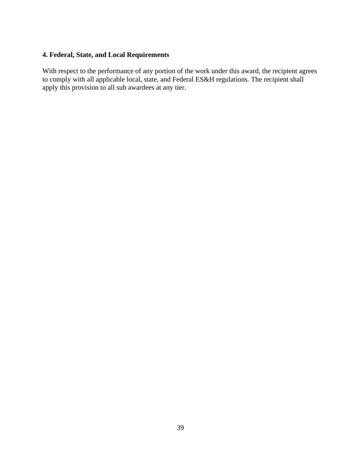# **4. Federal, State, and Local Requirements**

With respect to the performance of any portion of the work under this award, the recipient agrees to comply with all applicable local, state, and Federal ES&H regulations. The recipient shall apply this provision to all sub awardees at any tier.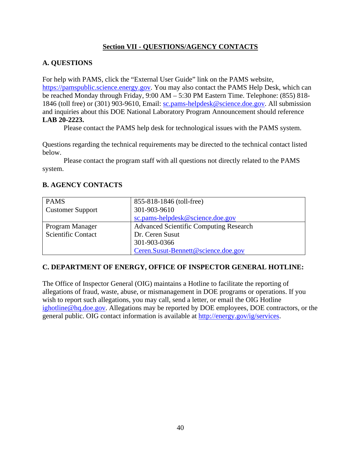# **Section VII - QUESTIONS/AGENCY CONTACTS**

# <span id="page-45-1"></span><span id="page-45-0"></span>**A. QUESTIONS**

For help with PAMS, click the "External User Guide" link on the PAMS website, [https://pamspublic.science.energy.gov.](https://pamspublic.science.energy.gov/) You may also contact the PAMS Help Desk, which can be reached Monday through Friday, 9:00 AM – 5:30 PM Eastern Time. Telephone: (855) 818- 1846 (toll free) or (301) 903-9610, Email: [sc.pams-helpdesk@science.doe.gov.](mailto:sc.pams-helpdesk@science.doe.gov) All submission and inquiries about this DOE National Laboratory Program Announcement should reference **LAB 20-2223.**

Please contact the PAMS help desk for technological issues with the PAMS system.

Questions regarding the technical requirements may be directed to the technical contact listed below.

Please contact the program staff with all questions not directly related to the PAMS system.

# <span id="page-45-2"></span>**B. AGENCY CONTACTS**

| <b>PAMS</b>               | 855-818-1846 (toll-free)                      |
|---------------------------|-----------------------------------------------|
| <b>Customer Support</b>   | 301-903-9610                                  |
|                           | sc.pams-helpdesk@science.doe.gov              |
| Program Manager           | <b>Advanced Scientific Computing Research</b> |
| <b>Scientific Contact</b> | Dr. Ceren Susut                               |
|                           | 301-903-0366                                  |
|                           | Ceren.Susut-Bennett@science.doe.gov           |

# **C. DEPARTMENT OF ENERGY, OFFICE OF INSPECTOR GENERAL HOTLINE:**

The Office of Inspector General (OIG) maintains a Hotline to facilitate the reporting of allegations of fraud, waste, abuse, or mismanagement in DOE programs or operations. If you wish to report such allegations, you may call, send a letter, or email the OIG Hotline [ighotline@hq.doe.gov.](mailto:ighotline@hq.doe.gov) Allegations may be reported by DOE employees, DOE contractors, or the general public. OIG contact information is available at [http://energy.gov/ig/services.](http://energy.gov/ig/services)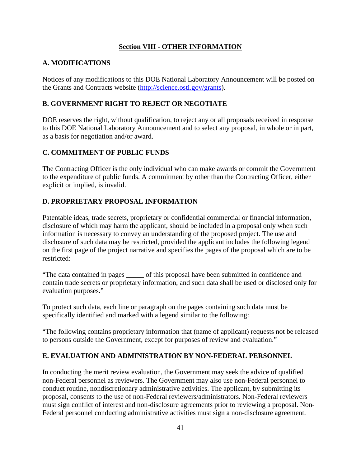# **Section VIII - OTHER INFORMATION**

# <span id="page-46-1"></span><span id="page-46-0"></span>**A. MODIFICATIONS**

Notices of any modifications to this DOE National Laboratory Announcement will be posted on the Grants and Contracts website [\(http://science.osti.gov/grants\)](http://science.osti.gov/grants).

# <span id="page-46-2"></span>**B. GOVERNMENT RIGHT TO REJECT OR NEGOTIATE**

DOE reserves the right, without qualification, to reject any or all proposals received in response to this DOE National Laboratory Announcement and to select any proposal, in whole or in part, as a basis for negotiation and/or award.

# <span id="page-46-3"></span>**C. COMMITMENT OF PUBLIC FUNDS**

The Contracting Officer is the only individual who can make awards or commit the Government to the expenditure of public funds. A commitment by other than the Contracting Officer, either explicit or implied, is invalid.

# <span id="page-46-4"></span>**D. PROPRIETARY PROPOSAL INFORMATION**

Patentable ideas, trade secrets, proprietary or confidential commercial or financial information, disclosure of which may harm the applicant, should be included in a proposal only when such information is necessary to convey an understanding of the proposed project. The use and disclosure of such data may be restricted, provided the applicant includes the following legend on the first page of the project narrative and specifies the pages of the proposal which are to be restricted:

"The data contained in pages \_\_\_\_\_ of this proposal have been submitted in confidence and contain trade secrets or proprietary information, and such data shall be used or disclosed only for evaluation purposes."

To protect such data, each line or paragraph on the pages containing such data must be specifically identified and marked with a legend similar to the following:

"The following contains proprietary information that (name of applicant) requests not be released to persons outside the Government, except for purposes of review and evaluation."

# <span id="page-46-5"></span>**E. EVALUATION AND ADMINISTRATION BY NON-FEDERAL PERSONNEL**

In conducting the merit review evaluation, the Government may seek the advice of qualified non-Federal personnel as reviewers. The Government may also use non-Federal personnel to conduct routine, nondiscretionary administrative activities. The applicant, by submitting its proposal, consents to the use of non-Federal reviewers/administrators. Non-Federal reviewers must sign conflict of interest and non-disclosure agreements prior to reviewing a proposal. Non-Federal personnel conducting administrative activities must sign a non-disclosure agreement.